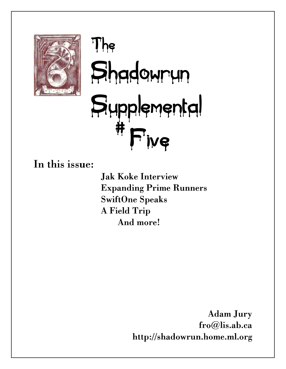

# The Shadowrun Supplemental # Five

In this issue:

Jak Koke Interview Expanding Prime Runners SwiftOne Speaks A Field Trip And more!

> Adam Jury fro@lis.ab.ca http://shadowrun.home.ml.org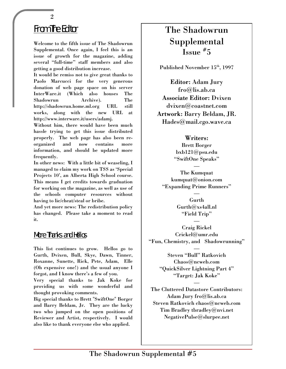# From The Editor

Welcome to the fifth issue of The Shadowrun Supplemental. Once again, I feel this is an issue of growth for the magazine, adding several "full-time" staff members and also getting a good distribution increase.

It would be remiss not to give great thanks to Paolo Marcucci for the very generous donation of web page space on his server InterWare.it (Which also houses The Shadowrun Archive). The http://shadowrun.home.ml.org URL still works, along with the new URL at http://www.interware.it/users/adamj.

Without him, there would have been much hassle trying to get this issue distributed properly. The web page has also been reorganized and now contains more information, and should be updated more frequently.

In other news: With a little bit of weaseling, I managed to claim my work on TSS as 'Special Projects 10', an Alberta High School course. This means I get credits towards graduation for working on the magazine, as well as use of the schools computer resources without having to lie/cheat/steal or bribe.

And yet more news: The redistribution policy has changed. Please take a moment to read it.

#### More Thanks and Hellos

This list continues to grow. Hellos go to Gurth, Dvixen, Bull, Skye, Dawn, Tinner, Roxanne, Sunette, Rick, Pete, Adam, Elle (Oh expensive one!) and the usual anyone I forgot, and I know there's a few of you.

Very special thanks to Jak Koke for providing us with some wonderful and thought provoking comments.

Big special thanks to Brett "SwiftOne" Borger and Barry Beldam, Jr. They are the lucky two who jumped on the open positions of Reviewer and Artist, respectively. I would also like to thank everyone else who applied.

# The Shadowrun Supplemental Issue # 5

Published November 15<sup>th</sup>, 1997

Editor: Adam Jury fro@lis.ab.ca Associate Editor: Dvixen dvixen@coastnet.com Artwork: Barry Beldam, JR. Hades@mail.cgo.wave.ca

#### Writers:

Brett Borger bxb121@psu.edu "SwiftOne Speaks"

— The Kumquat kumquat@onion.com "Expanding Prime Runners"

> — Gurth Gurth@xs4all.nl "Field Trip"

Craig Rickel Crickel@umr.edu "Fun, Chemistry, and Shadowrunning"

—

—

Steven "Bull" Ratkovich Chaos@ncweb.com "QuickSilver Lightning Part 4" "Target: Jak Koke"

—

The Cluttered Datastore Contributors: Adam Jury fro@lis.ab.ca Steven Ratkovich chaos@ncweb.com Tim Bradley tbradley@nvi.net NegativePulse@slurpee.net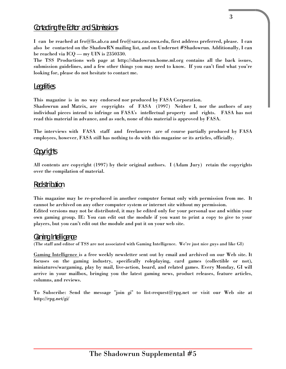## Contacting the Editor and Submissions

I can be reached at fro@lis.ab.ca and fro@sara.cas.nwu.edu, first address preferred, please. I can also be contacted on the ShadowRN mailing list, and on Undernet #Shadowrun. Additionally, I can be reached via ICQ — my UIN is 2350330.

The TSS Productions web page at http://shadowrun.home.ml.org contains all the back issues, submission guidelines, and a few other things you may need to know. If you can't find what you're looking for, please do not hesitate to contact me.

#### Legalities

This magazine is in no way endorsed nor produced by FASA Corporation.

Shadowrun and Matrix, are copyrights of FASA (1997) Neither I, nor the authors of any individual pieces intend to infringe on FASA's intellectual property and rights. FASA has not read this material in advance, and as such, none of this material is approved by FASA.

The interviews with FASA staff and freelancers are of course partially produced by FASA employees, however, FASA still has nothing to do with this magazine or its articles, officially.

#### Copyrights

All contents are copyright (1997) by their original authors. I (Adam Jury) retain the copyrights over the compilation of material.

#### Redistribution

This magazine may be re-produced in another computer format only with permission from me. It cannot be archived on any other computer system or internet site without my permission. Edited versions may not be distributed, it may be edited only for your personal use and within your own gaming group. IE: You can edit out the module if you want to print a copy to give to your players, but you can't edit out the module and put it on your web site.

#### Gaming Intelligence

(The staff and editor of TSS are not associated with Gaming Intelligence. We're just nice guys and like GI)

Gaming Intelligence is a free weekly newsletter sent out by email and archived on our Web site. It focuses on the gaming industry, specifically roleplaying, card games (collectible or not), miniatures/wargaming, play by mail, live-action, board, and related games. Every Monday, GI will arrive in your mailbox, bringing you the latest gaming news, product releases, feature articles, columns, and reviews.

To Subscribe: Send the message "join gi" to list-request@rpg.net or visit our Web site at http://rpg.net/gi/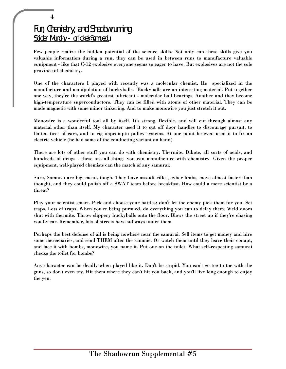# Fun, Chemistry, and Shadowrunning Spider Murphy - crickel@umr.edu

4

Few people realize the hidden potential of the science skills. Not only can these skills give you valuable information during a run, they can be used in between runs to manufacture valuable equipment - like that C-12 explosive everyone seems so eager to have. But explosives are not the sole province of chemistry.

One of the characters I played with recently was a molecular chemist. He specialized in the manufacture and manipulation of buckyballs. Buckyballs are an interesting material. Put together one way, they're the world's greatest lubricant - molecular ball bearings. Another and they become high-temperature superconductors. They can be filled with atoms of other material. They can be made magnetic with some minor tinkering. And to make monowire you just stretch it out.

Monowire is a wonderful tool all by itself. It's strong, flexible, and will cut through almost any material other than itself. My character used it to cut off door handles to discourage pursuit, to flatten tires of cars, and to rig impromptu pulley systems. At one point he even used it to fix an electric vehicle (he had some of the conducting variant on hand).

There are lots of other stuff you can do with chemistry. Thermite, Dikote, all sorts of acids, and hundreds of drugs - these are all things you can manufacture with chemistry. Given the proper equipment, well-played chemists can the match of any samurai.

Sure, Samurai are big, mean, tough. They have assault rifles, cyber limbs, move almost faster than thought, and they could polish off a SWAT team before breakfast. How could a mere scientist be a threat?

Play your scientist smart. Pick and choose your battles; don't let the enemy pick them for you. Set traps. Lots of traps. When you're being pursued, do everything you can to delay them. Weld doors shut with thermite. Throw slippery buckyballs onto the floor. Blows the street up if they're chasing you by car. Remember, lots of streets have subways under them.

Perhaps the best defense of all is being nowhere near the samurai. Sell items to get money and hire some mercenaries, and send THEM after the sammie. Or watch them until they leave their conapt, and lace it with bombs, monowire, you name it. Put one on the toilet. What self-respecting samurai checks the toilet for bombs?

Any character can be deadly when played like it. Don't be stupid. You can't go toe to toe with the guns, so don't even try. Hit them where they can't hit you back, and you'll live long enough to enjoy the yen.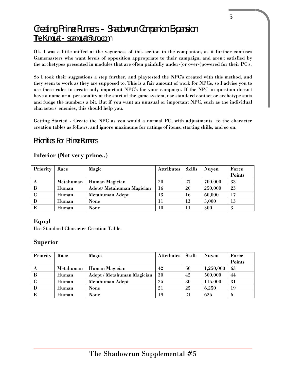# Creating Prime Runners - Shadowrun Companion Expansion The Kumquat - spamquat@juno.com

Ok, I was a little miffed at the vagueness of this section in the companion, as it further confuses Gamemasters who want levels of opposition appropriate to their campaign, and aren't satisfied by the archetypes presented in modules that are often painfully under-(or over-)powered for their PC's.

So I took their suggestions a step further, and playtested the NPC's created with this method, and they seem to work as they are supposed to. This is a fair amount of work for NPCs, so I advise you to use these rules to create only important NPC's for your campaign. If the NPC in question doesn't have a name or a personality at the start of the game system, use standard contact or archetype stats and fudge the numbers a bit. But if you want an unusual or important NPC, such as the individual characters' enemies, this should help you.

Getting Started - Create the NPC as you would a normal PC, with adjustments to the character creation tables as follows, and ignore maximums for ratings of items, starting skills, and so on.

#### Priorities For Prime Runners

#### Inferior (Not very prime..)

| Priority | Race      | Magic                     | <b>Attributes</b> | <b>Skills</b> | <b>Nuyen</b> | Force  |
|----------|-----------|---------------------------|-------------------|---------------|--------------|--------|
|          |           |                           |                   |               |              | Points |
|          | Metahuman | Human Magician            | 20                | 27            | 700,000      | 33     |
| B        | Human     | Adept/ Metahuman Magician | 16                | 20            | 250,000      | 23     |
|          | Human     | Metahuman Adept           | 13                | 16            | 60,000       | 17     |
| D        | Human     | None                      |                   | 13            | 3,000        | 13     |
| Е        | Human     | None                      | 10                | 11            | 300          |        |

#### Equal

Use Standard Character Creation Table.

#### Superior

| Priority | Race      | Magic                      | <b>Attributes</b> | Skills | <b>Nuyen</b> | Force  |
|----------|-----------|----------------------------|-------------------|--------|--------------|--------|
|          |           |                            |                   |        |              | Points |
| A        | Metahuman | Human Magician             | 42                | 50     | 1,250,000    | 63     |
| B        | Human     | Adept / Metahuman Magician | 30                | 42     | 500,000      | 44     |
|          | Human     | Metahuman Adept            | 25                | 30     | 115,000      | 31     |
| D        | Human     | None                       | 21                | 25     | 6,250        | 19     |
|          | Human     | None                       | 19                | 21     | 625          | o      |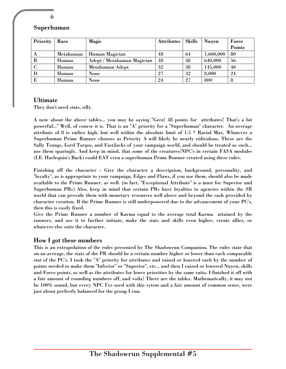#### Superhuman

| Priority | Race      | Magic                      | <b>Attributes</b> | <b>Skills</b> | <b>Nuyen</b> | Force  |
|----------|-----------|----------------------------|-------------------|---------------|--------------|--------|
|          |           |                            |                   |               |              | Points |
|          | Metahuman | Human Magician             | 48                | 64            | 1,600,000    | 80     |
| B        | Human     | Adept / Metahuman Magician | 38                | 48            | 640,000      | 56     |
|          | Human     | Metahuman Adept            | 32                | 38            | 145,000      | 40     |
| D        | Human     | None                       | 27                | 32            | 8,000        | 24     |
| E        | Human     | None                       | 24                | 27            | 800          | 8      |

#### Ultimate

They don't need stats, silly.

A note about the above tables... you may be saying "Geez! 48 points for attributes! That's a bit powerful..." Well, of course it is. That is an "A" priority for a "Superhuman" character. An average attribute of 8 is rather high, but well within the absolute limit of 1.5 \* Racial Max. Whatever a Superhuman Prime Runner chooses as Priority A will likely be nearly ridiculous. These are the Sally Tsungs, Lord Torgos, and FastJacks of your campaign world, and should be treated as such... use them sparingly. And keep in mind, that some of the creatures/NPC's in certain FASA modules (I.E. Harlequin's Back) could EAT even a superhuman Prime Runner created using these rules.

Finishing off the character - Give the character a description, background, personality, and "loyalty", as is appropriate to your campaign. Edges and Flaws, if you use them, should also be made available to the Prime Runner, as well. (in fact, "Exceptional Attribute" is a must for Superior and Superhuman PRs) Also, keep in mind that certain PRs have loyalties to agencies within the SR world that can provide them with monetary resources well above and beyond the cash provided by character creation. If the Prime Runner is still underpowered due to the advancement of your PC's, then this is easily fixed.

Give the Prime Runner a number of Karma equal to the average total Karma attained by the runners, and use it to further initiate, make the stats and skills even higher, create allies, or whatever else suits the character.

#### How I got these numbers

This is an extrapolation of the rules presented by The Shadowrun Companion. The rules state that on an average, the stats of the PR should be a certain number higher or lower than each comparable stat of the PC's. I took the "A" priority for attributes and raised or lowered each by the number of points needed to make them "Inferior" or "Superior", etc... and then I raised or lowered Nuyen, skills and Force points, as well as the attributes for lower priorities by the same ratio. I finished it off with a fair amount of rounding numbers off, and voila! There are the tables. Mathematically, it may not be 100% sound, but every NPC I've used with this sytem and a fair amount of common sense, were just about perfectly balanced for the group I run.

6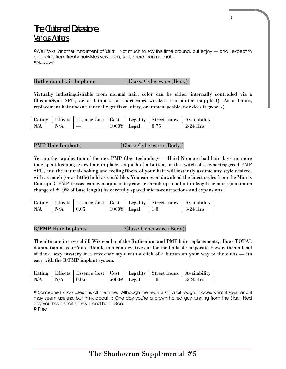# The Cluttered Datastore Various Authors

»Well folks, another installment of 'stuff'. Not much to say this time around, but enjoy — and I expect to be seeing from freaky hairstyles very soon, well, more than normal… »NuDawn

#### Ruthenium Hair Implants [Class: Cyberware (Body)]

Virtually indistinguishable from normal hair, color can be either internally controlled via a ChromaSync SPU, or a datajack or short-range-wireless transmitter (supplied). As a bonus, replacement hair doesn't generally get fizzy, dirty, or unmanageable, nor does it grow :-)

|     |     | Rating   Effects   Essence Cost   Cost   Legality   Street Index   Availability |                     |              |            |
|-----|-----|---------------------------------------------------------------------------------|---------------------|--------------|------------|
| N/A | N/A |                                                                                 | $1000 \times$ Legal | $\vert 0.75$ | $2/24$ Hrs |

#### PMP Hair Implants [Class: Cyberware (Body)]

Yet another application of the new PMP-fiber technology — Hair! No more bad hair days, no more time spent keeping every hair in place... a push of a button, or the twitch of a cybertriggered PMP SPU, and the natural-looking and feeling fibers of your hair will instantly assume any style desired, with as much (or as little) hold as you'd like. You can even download the latest styles from the Matrix Boutique! PMP tresses can even appear to grow or shrink up to a foot in length or more (maximum change of  $\pm 10\%$  of base length) by carefully spaced micro-contractions and expansions.

|     |                  | Rating   Effects   Essence Cost   Cost   Legality   Street Index   Availability |                        |             |            |
|-----|------------------|---------------------------------------------------------------------------------|------------------------|-------------|------------|
| N/A | $\mathsf{I}$ N/A | $\pm 0.05$                                                                      | $1000\text{Y}$   Legal | $\vert$ 1.0 | $3/24$ Hrs |

#### R/PMP Hair Implants [Class: Cyberware (Body)]

The ultimate in cryo-chill! Wiz combo of the Ruthenium and PMP hair replacements, allows TOTAL domination of your 'doo! Blonde in a conservative cut for the halls of Corporate Power, then a head of dark, sexy mystery in a cryo-max style with a click of a button on your way to the clubs — it's easy with the R/PMP implant system.

| Rating |     | Effects   Essence Cost   Cost |                        | Legality   Street Index   Availability |                    |
|--------|-----|-------------------------------|------------------------|----------------------------------------|--------------------|
| N/A    | N/A | 0.05                          | $5000\text{Y}$   Legal | $+1.0$                                 | $\frac{3}{24}$ Hrs |

» Someone I know uses this all the time. Although the tech is still a bit rough, it does what it says, and it may seem useless, but think about it: One day you're a brown haired guy running from the Star. Next day you have short spikey blond hair. Gee.. » Phro

7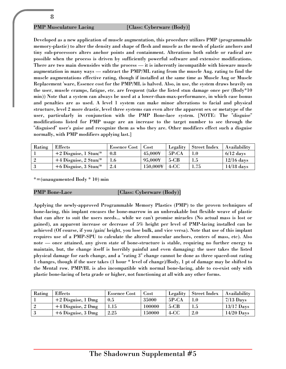#### PMP Musculature Lacing [Class: Cyberware (Body)]

Developed as a new application of muscle augmentation, this procedure utilizes PMP (programmable memory-plastic) to alter the density and shape of flesh and muscle as the mesh of plastic anchors and tiny sub-processors alters anchor points and containment. Alterations both subtle or radical are possible when the process is driven by sufficiently powerful software and extensive modifications. There are two main downsides with the process — it is inherently incompatible with bioware muscle augmentation in many ways — subtract the PMP/ML rating from the muscle Aug. rating to find the muscle augmentations effective rating, though if installed at the same time as Muscle Aug or Muscle Replacement 'ware, Essence cost for the PMP/ML is halved. Also, in use, the system draws heavily on the user, muscle cramps, fatigue, etc. are frequent (take the listed stun damage once per (Body\*10 min)) Note that a system can always be used at a lower-than-max-performance, in which case bonus and penalties are as used. A level 1 system can make minor alterations to facial and physical structure, level 2 more drastic, level three systems can even alter the apparent sex or metatype of the user, particularly in conjunction with the PMP Bone-lace system. [NOTE: The "disguise" modifications listed for PMP usage are an increase to the target number to see through the "disguised" user's guise and recognize them as who they are. Other modifiers effect such a disguise normally, with PMP modifiers applying last.]

| Rating | Effects                 | <b>Essence Cost</b> | Cost                | Legality | Street Index | Availability |
|--------|-------------------------|---------------------|---------------------|----------|--------------|--------------|
|        | $+2$ Disguise, 1 Stun/* | 0.8                 | 45,000¥             | $5P-CA$  |              | $6/12$ days  |
|        | +4 Disguise, 2 Stun/*   |                     | 95,000¥             | $5-CB$   |              | $12/16$ days |
|        | $+6$ Disguise, 3 Stun/* | -2.4                | $150,000\mathrm{Y}$ | 4-CC     | 1.75         | $14/18$ days |

\*=(unaugumented Body \* 10) min

#### PMP Bone-Lace [Class: Cyberware (Body)]

Applying the newly-approved Programmable Memory Plastics (PMP) to the proven techniques of bone-lacing, this implant encases the bone-marrow in an unbreakable but flexible weave of plastic that can alter to suit the users needs... while we can't promise miracles (No actual mass is lost or gained), an apparent increase or decrease of 5% height per level of PMP-lacing installed can be achieved (Of course, if you /gain/ height, you lose bulk, and vice versa). Note that use of this implant requires use of a PMP-SPU to calculate the altered muscular anchors, centers of mass, etc). Also note — once attained, any given state of bone-structure is stable, requiring no further energy to maintain, but, the change itself is horribly painful and even damaging: the user takes the listed physical damage for each change, and a "rating 3" change cannot be done as three spaced-out rating 1 changes, though if the user takes (1 hour \* level of change)/Body, 1 pt of damage may be shifted to the Mental row. PMP/BL is also incompatible with normal bone-lacing, able to co-exist only with plastic bone-lacing of beta grade or higher, not functioning at all with any other forms.

| Rating | <b>Effects</b>       | <b>Essence Cost</b> | Cost   | Legality     | Street Index | Availability |
|--------|----------------------|---------------------|--------|--------------|--------------|--------------|
|        | $+2$ Disguise, 1 Dmg | 0.5                 | 35000  | <b>5P-CA</b> |              | $7/13$ Days  |
|        | $+4$ Disguise, 2 Dmg | 1.15                | 100000 | $5-CB$       |              | $13/17$ Days |
|        | $+6$ Disguise, 3 Dmg | 2.25                | 150000 | 4-CC         | 2.0          | $14/20$ Days |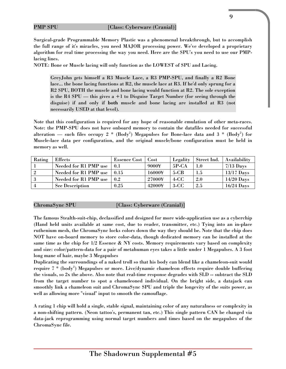#### PMP SPU [Class: Cyberware (Cranial)]

Surgical-grade Programmable Memory Plastic was a phenomenal breakthrough, but to accomplish the full range of it's miracles, you need MAJOR processing power. We've developed a proprietary algorithm for real time processing the way you need. Here are the SPU's you need to use our PMPlacing lines.

NOTE: Bone or Muscle lacing will only function as the LOWEST of SPU and Lacing.

GreyJohn gets himself a R3 Muscle Lace, a R3 PMP-SPU, and finally a R2 Bone lace... the bone lacing functions at R2, the muscle lace at R3. If he'd only sprung for a R2 SPU, BOTH the muscle and bone lacing would function at R2. The sole exception is the R4 SPU — this gives a  $+1$  to Disguise Target Number (for seeing through the disguise) if and only if both muscle and bone lacing are installed at R3 (not necessarily USED at that level).

Note that this configuration is required for any hope of reasonable emulation of other meta-races. Note: the PMP-SPU does not have onboard memory to contain the datafiles needed for successful alteration — such files occupy 2  $^*$  (Body<sup>2</sup>) Megapulses for Bone-lace data and 3  $^*$  (Body<sup>2</sup>) for Muscle-lace data per configuration, and the original muscle/bone configuration must be held in memory as well.

| Rating         | <b>Effects</b>         | <b>Essence Cost</b> | Cost   | Legality | Street Ind. | Availability |
|----------------|------------------------|---------------------|--------|----------|-------------|--------------|
|                | Needed for R1 PMP use  | 0.1                 | 9000¥  | $5P-CA$  | 1.0         | $7/13$ Days  |
| $\overline{2}$ | Needed for R1 PMP use  | 0.15                | 16000¥ | $5-CB$   | 1.5         | $13/17$ Days |
| - 3            | Needed for R1 PMP use  | 0.2                 | 27000¥ | $4-CC$   | 2.0         | $14/20$ Days |
| $\overline{4}$ | <b>See Description</b> | 0.25                | 42000¥ | $3-CC$   | 2.5         | $16/24$ Days |

ChromaSync SPU [Class: Cyberware (Cranial)]

The famous Stealth-suit-chip, declassified and designed for more wide-application use as a cyberchip (Hand held units available at same cost, due to reader, transmitter, etc.) Tying into an in-place ruthenium mesh, the ChromaSync locks colors down the way they should be. Note that the chip does NOT have on-board memory to store color-data, though dedicated memory can be installed at the same time as the chip for  $1/2$  Essence & NY costs. Memory requirements vary based on complexity and size: color/pattern-data for a pair of metahuman eyes takes a little under 1 Megapulses. A 3 foot long mane of hair, maybe 3 Megapulses

Duplicating the surroundings of a naked troll so that his body can blend like a chameleon-suit would require 7  $^*$  (body $^2$ ) Megapulses or more. Live/dynamic chameleon effects require double buffering the visuals, so 2x the above. Also note that real-time response degrades with SLD -- subtract the SLD from the target number to spot a chameleoned individual. On the bright side, a datajack can smoothly link a chameleon suit and ChromaSync SPU and triple the longevity of the suits power, as well as allowing more "visual" input to smooth the camouflage.

A rating 1 chip will hold a single, stable signal, maintaining color of any naturalness or complexity in a non-shifting pattern. (Neon tattoo's, permanent tan, etc.) This single pattern CAN be changed via data-jack reprogramming using normal target numbers and times based on the megapulses of the ChromaSync file.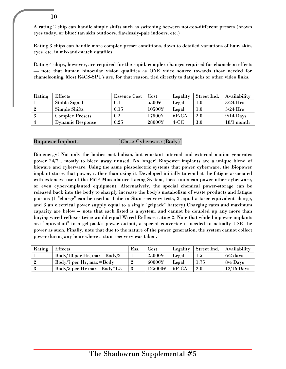A rating 2 chip can handle simple shifts such as switching between not-too-different presets (brown eyes today, or blue? tan skin outdoors, flawlessly-pale indoors, etc.)

Rating 3 chips can handle more complex preset conditions, down to detailed variations of hair, skin, eyes, etc. in mix-and-match datafiles.

Rating 4 chips, however, are required for the rapid, complex changes required for chameleon effects — note that human binocular vision qualifies as ONE video source towards those needed for chameleoning. Most R4CS-SPU's are, for that reason, tied directly to datajacks or other video links.

| Rating | <b>Effects</b>          | <b>Essence Cost</b> | Cost                       | Legality | Street Ind. | Availability |
|--------|-------------------------|---------------------|----------------------------|----------|-------------|--------------|
|        | <b>Stable Signal</b>    | 0.1                 | 5500¥                      | Legal    | $1.0\,$     | $3/24$ Hrs   |
|        | <b>Simple Shifts</b>    | 0.15                | 10500¥                     | Legal    | $1.0\,$     | $3/24$ Hrs   |
| .,     | <b>Complex Presets</b>  | 0.2                 | $17500\mathrm{\mathbf{Y}}$ | $6P-CA$  | 2.0         | $9/14$ Days  |
|        | <b>Dynamic Response</b> | 0.25                | 28000¥                     | $4-CC$   | 3.0         | 18/1 month   |

Biopower Implants [Class: Cyberware (Body)]

10

Bio-energy! Not only the bodies metabolism, but constant internal and external motion generates power 24/7... mostly to bleed away unused. No longer! Biopower implants are a unique blend of bioware and cyberware. Using the same piezoelectric systems that power cyberware, the Biopower implant stores that power, rather than using it. Developed initially to combat the fatigue associated with extensive use of the PMP Musculature Lacing System, these units can power other cyberware, or even cyber-implanted equipment. Alternatively, the special chemical power-storage can be released back into the body to sharply increase the body's metabolism of waste products and fatigue poisons (1 "charge" can be used as 1 die in Stun-recovery tests, 2 equal a taser-equivalent charge, and 3 an electrical power supply equal to a single "gelpack" battery) Charging rates and maximum capacity are below -- note that each listed is a system, and cannot be doubled up any more than buying wired reflexes twice would equal Wired Reflexes rating 2. Note that while biopower implants are "equivalent" to a gel-pack's power output, a special converter is needed to actually USE the power as such. Finally, note that due to the nature of the power generation, the system cannot collect power during any hour where a stun-recovery was taken.

| Rating | <b>Effects</b>                  | Ess. | Cost    | Legality | Street Ind. | Availability |
|--------|---------------------------------|------|---------|----------|-------------|--------------|
|        | $Body/10$ per Hr, max= $Body/2$ |      | 25000¥  | Legal    | $1.5\,$     | $6/2$ days   |
|        | Body/7 per Hr, max=Body         |      | 60000¥  | Legal    | 1.75        | $8/4$ Days   |
|        | $Body/5$ per Hr max=Body*1.5    |      | 125000¥ | 6P-CA    | 2.0         | $12/16$ Days |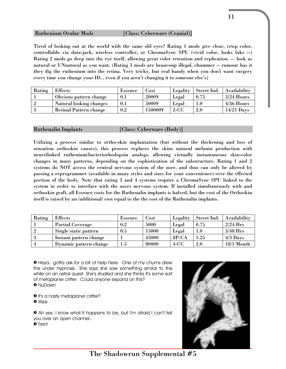#### Ruthenium Ocular Mods [Class: Cyberware (Cranial)]

Tired of looking out at the world with the same old eyes? Rating 1 mods give clear, crisp color, controllable via data-jack, wireless controller, or ChromaSync SPU (vivid color, looks fake :-) Rating 2 mods go deep into the eye itself, allowing great color retention and replication — look as natural or UNnatural as you want. (Rating 3 mods are beaucoup illegal, chummer -- rumour has it they dig the ruthenium into the retina. Very tricky, but real handy when you don't want surgery every time you change your ID... even if you aren't changing it to someone else's)

| Rating | <b>Effects</b>          | Essence | .'ost   | Legality | Street Ind. | Availability |
|--------|-------------------------|---------|---------|----------|-------------|--------------|
|        | Obvious pattern change  | 0.1     | 2000¥   | Legal    | 0.75        | $3/24$ Hours |
|        | Natural looking changes | 0.1     | 5000¥   | Legal    | $1.0\,$     | $4/36$ Hours |
|        | Retinal Pattern change  | 0.2     | 150000¥ | $2-CC$   | 2.0         | $14/21$ Days |

Ruthenalin Implants [Class: Cyberware (Body)]

Utilizing a process similar to ortho-skin implantation (but without the thickening and loss of sensation orthoskin causes), this process replaces the skins natural melanin production with neurolinked ruthenium/bacteriorhodopsin analogs, allowing virtually instantaneous skin-color changes in many patterns, depending on the sophistication of the substructure. Rating 1 and 2 systems do NOT access the central nervous system of the user, and thus can only be altered by passing a reprogrammer (available in many styles and sizes for your convenience) over the effected portion of the body. Note that rating 3 and 4 systems require a ChromaSync SPU linked to the system in order to interface with the users nervous system. If installed simultaneously with and orthoskin graft, all Essence costs for the Ruthenalin implants is halved, but the cost of the Orthoskin itself is raised by an /additional/ cost equal to the the cost of the Ruthenalin implants.

| Rating         | <b>Effects</b>          | <b>Essence</b> | Jost  | Legality | Street Ind. | Availability |
|----------------|-------------------------|----------------|-------|----------|-------------|--------------|
|                | <b>Partial Coverage</b> | 0.2            | 5000  | Legal    | 0.75        | $2/24$ Hrs   |
| $\overline{2}$ | Single static pattern   | 0.5            | 15000 | Legal    | $1.0\,$     | $3/48$ Hrs   |
| - 3            | Instant pattern change  |                | 45000 | 8P-CA    | 1.25        | $4/3$ Days   |
| $\overline{4}$ | Dynamic pattern change  | $1.5\,$        | 80000 | $4-CC$   | 2.0         | 18/1 Month   |

» Heya.. gotta ask for a bit of help here. One of my chums drew this under hypnosis.. She says she saw something similar to this while on an astral quest. She's studied and she thinks it's some sort of metaplaner critter. Could anyone expand on this? » NuDawn

- **•** It's a nasty metaplaner critter?
- » Wize

» Ah yes. I know what it happens to be, but I'm afraid I can't tell you over an open channel..

» Trent



The Shadowrun Supplemental #5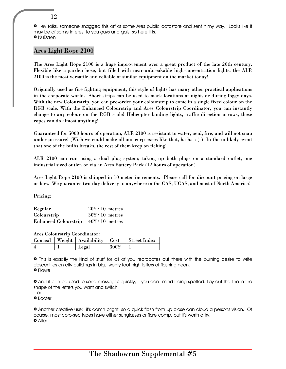» Hey folks, someone snagged this off of some Ares public datastore and sent it my way. Looks like it may be of some interest to you guys and gals, so here it is. » NuDawn

#### Ares Light Rope 2100

The Ares Light Rope 2100 is a huge improvement over a great product of the late 20th century. Flexible like a garden hose, but filled with near-unbreakable high-concentration lights, the ALR 2100 is the most versatile and reliable of similar equipment on the market today!

Originally used as fire fighting equipment, this style of lights has many other practical applications in the corporate world. Short strips can be used to mark locations at night, or during foggy days. With the new Colourstrip, you can pre-order your colourstrip to come in a single fixed colour on the RGB scale. With the Enhanced Colourstrip and Ares Colourstrip Coordinator, you can instantly change to any colour on the RGB scale! Helicopter landing lights, traffic direction arrows, these ropes can do almost anything!

Guaranteed for 5000 hours of operation, ALR 2100 is resistant to water, acid, fire, and will not snap under pressure! (Wish we could make all our corp-execs like that, ha ha :-) ) In the unlikely event that one of the bulbs breaks, the rest of them keep on ticking!

ALR 2100 can run using a dual plug system; taking up both plugs on a standard outlet, one industrial sized outlet, or via an Ares Battery Pack (12 hours of operation).

Ares Light Rope 2100 is shipped in 10 meter increments. Please call for discount pricing on large orders. We guarantee two-day delivery to anywhere in the CAS, UCAS, and most of North America!

Pricing:

| Regular                            | $20\frac{\text{V}}{10}$ metres |  |
|------------------------------------|--------------------------------|--|
| Colourstrip                        | $304/10$ metres                |  |
| Enhanced Colourstrip 40¥/10 metres |                                |  |

Ares Colourstrip Coordinator:

|  | Conceal   Weight   Availability   Cost   Street Index |        |  |
|--|-------------------------------------------------------|--------|--|
|  | Legal                                                 | $300+$ |  |

» This is exactly the kind of stuff for all of you reprobates out there with the burning desire to write obscenities on city buildings in big, twenty foot high letters of flashing neon. » Flayre

» And it can be used to send messages quickly, if you don't mind being spotted. Lay out the line in the shape of the letters you want and switch

it on. » Booter

» Another creative use: it's damn bright, so a quick flash from up close can cloud a persons vision. Of course, most corp-sec types have either sunglasses or flare comp, but it's worth a try. » Alter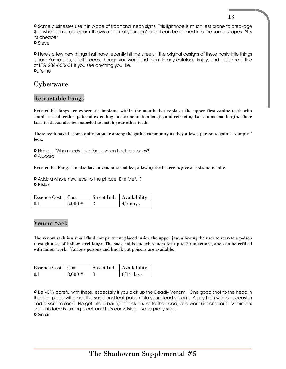» Some businesses use it in place of traditional neon signs. This lightrope is much less prone to breakage (like when some gangpunk throws a brick at your sign) and it can be formed into the same shapes. Plus it's cheaper.

» Steve

» Here's a few new things that have recently hit the streets. The original designs of these nasty little things is from Yamatetsu, of all places, though you won't find them in any catalog. Enjoy, and drop me a line at LTG 286-680601 if you see anything you like.  $\bullet$ Lifeline

# Cyberware

#### Retractable Fangs

Retractable fangs are cybernetic implants within the mouth that replaces the upper first canine teeth with stainless steel teeth capable of extending out to one inch in length, and retracting back to normal length. These false teeth can also be enameled to match your other teeth.

These teeth have become quite popular among the gothic community as they allow a person to gain a "vampire" look.

» Hehe… Who needs fake fangs when I got real ones? » Alucard

Retractable Fangs can also have a venom sac added, allowing the bearer to give a "poisonous" bite.

» Adds a whole new level to the phrase "Bite Me". :) » Plisken

| Essence Cost   Cost |                     | Street Ind.   Availability |            |
|---------------------|---------------------|----------------------------|------------|
| -0.1                | $5,000 \frac{1}{3}$ |                            | $4/7$ days |

#### Venom Sack

The venom sack is a small fluid compartment placed inside the upper jaw, allowing the user to secrete a poison through a set of hollow steel fangs. The sack holds enough venom for up to 20 injections, and can be refilled with minor work. Various poisons and knock out poisons are available.

| Essence Cost   Cost |                      | Street Ind.   Availability |             |
|---------------------|----------------------|----------------------------|-------------|
| $\mathbf{0}$        | $8.000 \frac{1}{10}$ |                            | $8/14$ days |

» Be VERY careful with these, especially if you pick up the Deadly Venom. One good shot to the head in the right place will crack the sack, and leak poison into your blood stream. A guy I ran with on occasion had a venom sack. He got into a bar fight, took a shot to the head, and went unconscious. 2 minutes later, his face is turning black and he's convulsing. Not a pretty sight. » Sin-sin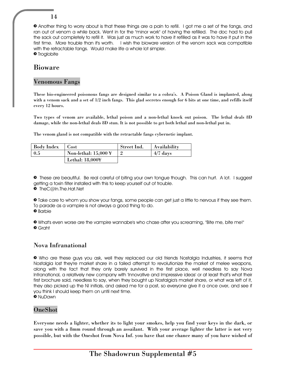» Another thing to worry about is that these things are a pain to refill. I got me a set of the fangs, and ran out of venom a while back. Went in for the "minor work" of having the refilled. The doc had to pull the sack out completely to refill it. Was just as much work to have it refilled as it was to have it put in the first time. More trouble than it's worth. I wish the bioware version of the venom sack was compatible with the retractable fangs. Would make life a whole lot simpler. **•** Troglobite

# Bioware

#### Venomous Fangs

These bio-engineered poisonous fangs are designed similar to a cobra's. A Poison Gland is implanted, along with a venom sack and a set of 1/2 inch fangs. This glad secretes enough for 6 bits at one time, and refills itself every 12 hours.

Two types of venom are available, lethal poison and a non-lethal knock out poison. The lethal deals 8D damage, while the non-lethal deals 8D stun. It is not possible to get both lethal and non-lethal put in.

The venom gland is not compatible with the retractable fangs cybernetic implant.

| Body Index | Cost                                                     | Street Ind. | <b>Availability</b> |
|------------|----------------------------------------------------------|-------------|---------------------|
| $0.5\,$    | Non-lethal: $15,000 \text{ } \text{ }^{\text{}}\text{ }$ |             | $4/7$ days          |
|            | Lethal: 18,000¥                                          |             |                     |

» These are beautiful. Be real careful of biting your own tongue though. This can hurt. A lot. I suggest getting a toxin filter installed with this to keep yourself out of trouble.

» TheC@In.The.Hat.Net

» Take care to whom you show your fangs, some people can get just a little to nervous if they see them. To parade as a vampire is not always a good thing to do.

» Barbie

» What's even worse are the vampire wannabe's who chase after you screaming, "Bite me, bite me!" » Graht

## Nova Infranational

» Who are these guys you ask, well they replaced our old friends Nostalgia Industries, it seems that Nostalgia lost they're market share in a failed attempt to revolutionize the market of melee weapons, along with the fact that they only barely survived in the first place, well needless to say Nova Infranational, a relatively new company with 'Innovative and Impressive ideas' or at least that's what their first brochure said, needless to say, when they bought up Nostalgia's market share, or what was left of it, they also picked up the NI initials, and asked me for a post, so everyone give it a once over, and see if you think I should keep them on until next time.

» NuDawn

## OneShot

Everyone needs a lighter, whether its to light your smokes, help you find your keys in the dark, or save you with a 8mm round through an assailant. With your average lighter the latter is not very possible, but with the Oneshot from Nova Inf. you have that one chance many of you have wished of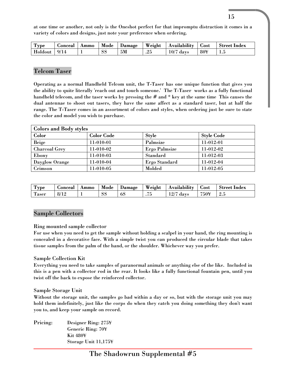at one time or another, not only is the Oneshot perfect for that impromptu distraction it comes in a variety of colors and designs, just note your preference when ordering.

| $\mathbf{r}$<br><b>Type</b> | <b>Goncea</b> ' | Ammo | Mode | Damage | Weight    | $\cdots$<br>Availability | ostٽ | <b>Street</b><br>Index |
|-----------------------------|-----------------|------|------|--------|-----------|--------------------------|------|------------------------|
| Holdout                     | Q/1A            |      | SS   | 5M     | വ<br>ل ک. | 10/7<br>days             | 80¥  | 2. . U                 |

#### Telcom Taser

Operating as a normal Handheld Telcom unit, the T-Taser has one unique function that gives you the ability to quite literally 'reach out and touch someone.' The T-Taser works as a fully functional handheld telecom, and the taser works by pressing the # and \* key at the same time This causes the dual antennae to shoot out tasers, they have the same affect as a standard taser, but at half the range. The T-Taser comes in an assortment of colors and styles, when ordering just be sure to state the color and model you wish to purchase.

| <b>Colors and Body styles</b> |                   |                      |                   |  |  |  |  |
|-------------------------------|-------------------|----------------------|-------------------|--|--|--|--|
| Color                         | <b>Color Code</b> | <b>Style</b>         | <b>Style Code</b> |  |  |  |  |
| <b>Beige</b>                  | 11-010-01         | Palmsize             | 11-012-01         |  |  |  |  |
| <b>Charcoal Grey</b>          | 11-010-02         | <b>Ergo Palmsize</b> | 11-012-02         |  |  |  |  |
| Ebony                         | $11-010-03$       | Standard             | 11-012-03         |  |  |  |  |
| Dayglow Orange                | 11-010-04         | Ergo Standard        | 11-012-04         |  |  |  |  |
| Crimson                       | 11-010-05         | Molded               | 11-012-05         |  |  |  |  |

| m<br>'Type             | <b>Concea</b>        | Ammo | Mode | Jamage | Weight   | $\cdots$<br>Availability | ം പ  | Index<br>Street |
|------------------------|----------------------|------|------|--------|----------|--------------------------|------|-----------------|
| $\mathbf{m}$<br>l'aser | Q / 1 9<br>ŏl<br>-14 |      | SS   | -02    | — —<br>. | 19/7<br>days<br>⊥∠/      | 750¥ | ر. د            |

#### Sample Collectors

#### Ring mounted sample collector

For use when you need to get the sample without holding a scalpel in your hand, the ring mounting is concealed in a decorative face. With a simple twist you can produced the circular blade that takes tissue samples from the palm of the hand, or the shoulder. Whichever way you prefer.

#### Sample Collection Kit

Everything you need to take samples of paranormal animals or anything else of the like. Included in this is a pen with a collector rod in the rear. It looks like a fully functional fountain pen, until you twist off the back to expose the reinforced collector.

#### Sample Storage Unit

Without the storage unit, the samples go bad within a day or so, but with the storage unit you may hold them indefinitely, just like the corps do when they catch you doing something they don't want you to, and keep your sample on record.

Pricing: Designer Ring: 275¥ Generic Ring: 70¥ Kit 480¥ Storage Unit 11,175¥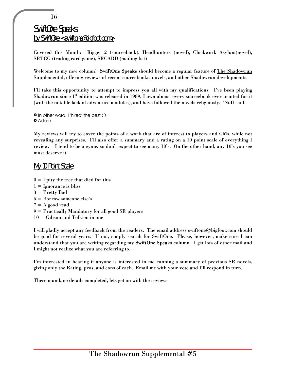# SwiftOne Speaks by SwiftOne <swiftone@bigfoot.com>

Covered this Month: Rigger 2 (sourcebook), Headhunters (novel), Clockwork Asylum(novel), SRTCG (trading card game), SRCARD (mailing list)

Welcome to my new column! SwiftOne Speaks should become a regular feature of The Shadowrun Supplemental, offering reviews of recent sourcebooks, novels, and other Shadowrun developments.

I'll take this opportunity to attempt to impress you all with my qualifications. I've been playing Shadowrun since  $1<sup>st</sup>$  edition was released in 1989, I own almost every sourcebook ever printed for it (with the notable lack of adventure modules), and have followed the novels religiously. 'Nuff said.

```
» In other word, I 'hired' the best : )
» Adam
```
My reviews will try to cover the points of a work that are of interest to players and GMs, while not revealing any surprises. I'll also offer a summary and a rating on a 10 point scale of everything I review. I tend to be a cynic, so don't expect to see many 10's. On the other hand, any 10's you see must deserve it.

#### My 10 Point Scale

 $0 = I$  pity the tree that died for this  $1 = \text{Ignorance}$  is bliss 3 = Pretty Bad 5 = Borrow someone else's  $7 = A$  good read 9 = Practically Mandatory for all good SR players 10 = Gibson and Tolkien in one

I will gladly accept any feedback from the readers. The email address swiftone@bigfoot.com should be good for several years. If not, simply search for SwiftOne. Please, however, make sure I can understand that you are writing regarding my SwiftOne Speaks column. I get lots of other mail and I might not realize what you are referring to.

I'm interested in hearing if anyone is interested in me running a summary of previous SR novels, giving only the Rating, pros, and cons of each. Email me with your vote and I'll respond in turn.

These mundane details completed, lets get on with the reviews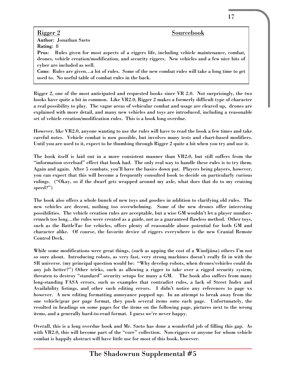Rigger 2 Sourcebook Author: Jonathan Szeto Rating: 8

Pros: Rules given for most aspects of a riggers life, including vehicle maintenance, combat, drones, vehicle creation/modification, and security riggers. New vehicles and a few nice bits of cyber are included as well.

Cons: Rules are given…a lot of rules. Some of the new combat rules will take a long time to get used to. No useful table of combat rules in the back.

Rigger 2, one of the most anticipated and requested books since VR 2.0. Not surprisingly, the two books have quite a bit in common. Like VR2.0, Rigger 2 makes a formerly difficult type of character a real possibility to play. The vague areas of vehicular combat and usage are cleared up, drones are explained with more detail, and many new vehicles and toys are introduced, including a reasonable set of vehicle creation/modification rules. This is a book long overdue.

However, like VR2.0, anyone wanting to use the rules will have to read the book a few times and take careful notes. Vehicle combat is now possible, but involves many tests and chart-based modifiers. Until you are used to it, expect to be thumbing through Rigger 2 quite a bit when you try and use it.

The book itself is laid out in a more consistent manner than VR2.0, but still suffers from the "information overload" effect that book had. The only real way to handle these rules is to try them. Again and again. After 5 combats, you'll have the basics down pat. Players being players, however, you can expect that this will become a frequently consulted book to decide on particularly curious rulings. ("Okay, so if the dwarf gets wrapped around my axle, what does that do to my cruising speed?")

The book also offers a whole bunch of new toys and goodies in addition to clarifying old rules. The new vehicles are decent, nothing too overwhelming. Some of the new drones offer interesting possibilities. The vehicle creation rules are acceptable, but a wise GM wouldn't let a player numbercrunch too long…the rules were created as a guide, not as a guaranteed flawless method. Other toys, such as the BattleTac for vehicles, offers plenty of reasonable abuse potential for both GM and character alike. Of course, the favorite device of riggers everywhere is the new Cranial Remote Control Deck.

While some modifications were great things, (such as upping the cost of a Windjiina) others I'm not so sure about. Introducing robots, as very fast, very strong machines doesn't really fit in with the SR universe. (my principal question would be: "Why develop robots, when drones/vehicles could do any job better?") Other tricks, such as allowing a rigger to take over a rigged security system, threaten to destroy "standard" security setups for many a GM. The book also suffers from many long-standing FASA errors, such as examples that contradict rules, a lack of Street Index and Availability listings, and other such editing errors. I didn't notice any references to page xx however. A new editing formatting annoyance popped up: In an attempt to break away from the one vehicle/gear per page format, they push several items onto each page. Unfortunately, the resulted in headings on some pages for the items on the following page, pictures next to the wrong items, and a generally hard-to-read format. I guess we're never happy.

Overall, this is a long overdue book and Mr. Szeto has done a wonderful job of filling this gap. As with VR2.0, this will become part of the "core" collection. Non-riggers or anyone for whom vehicle combat is happily abstract will have little use for most of this book, however.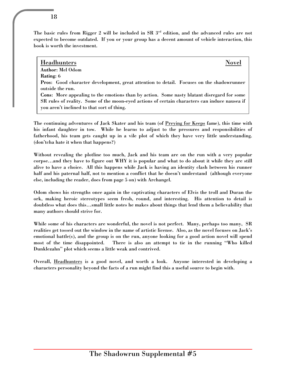The basic rules from Rigger 2 will be included in SR 3<sup>rd</sup> edition, and the advanced rules are not expected to become outdated. If you or your group has a decent amount of vehicle interaction, this

#### Headhunters Novel

Author: Mel Odom Rating: 6

book is worth the investment.

Pros: Good character development, great attention to detail. Focuses on the shadowrunner outside the run.

Cons: More appealing to the emotions than by action. Some nasty blatant disregard for some SR rules of reality. Some of the moon-eyed actions of certain characters can induce nausea if you aren't inclined to that sort of thing.

The continuing adventures of Jack Skater and his team (of Preying for Keeps fame), this time with his infant daughter in tow. While he learns to adjust to the pressures and responsibilities of fatherhood, his team gets caught up in a vile plot of which they have very little understanding. (don'tcha hate it when that happens?)

Without revealing the plotline too much, Jack and his team are on the run with a very popular corpse…and they have to figure out WHY it is popular and what to do about it while they are still alive to have a choice. All this happens while Jack is having an identity clash between his runner half and his paternal half, not to mention a conflict that he doesn't understand (although everyone else, including the reader, does from page 5 on) with Archangel.

Odom shows his strengths once again in the captivating characters of Elvis the troll and Duran the ork, making heroic stereotypes seem fresh, round, and interesting. His attention to detail is doubtless what does this…small little notes he makes about things that lend them a believability that many authors should strive for.

While some of his characters are wonderful, the novel is not perfect. Many, perhaps too many, SR realities get tossed out the window in the name of artistic license. Also, as the novel focuses on Jack's emotional battle(s), and the group is on the run, anyone looking for a good action novel will spend most of the time disappointed. There is also an attempt to tie in the running "Who killed Dunklezahn" plot which seems a little weak and contrived.

Overall, Headhunters is a good novel, and worth a look. Anyone interested in developing a characters personality beyond the facts of a run might find this a useful source to begin with.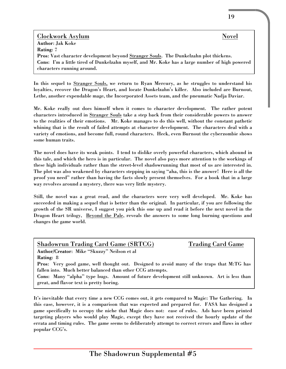Clockwork Asylum Novel Author: Jak Koke Rating: 7 Pros: Vast character development beyond Stranger Souls. The Dunkelzahn plot thickens. Cons: I'm a little tired of Dunkelzahn myself, and Mr. Koke has a large number of high powered characters running around.

In this sequel to Stranger Souls, we return to Ryan Mercury, as he struggles to understand his loyalties, recover the Dragon's Heart, and locate Dunkelzahn's killer. Also included are Burnout, Lethe, another expendable mage, the Incorporated Assets team, and the pneumatic Nadja Daviar.

Mr. Koke really out does himself when it comes to character development. The rather potent characters introduced in Stranger Souls take a step back from their considerable powers to answer to the realities of their emotions. Mr. Koke manages to do this well, without the constant pathetic whining that is the result of failed attempts at character development. The characters deal with a variety of emotions, and become full, round characters. Heck, even Burnout the cyberzombie shows some human traits.

The novel does have its weak points. I tend to dislike overly powerful characters, which abound in this tale, and which the hero is in particular. The novel also pays more attention to the workings of these high individuals rather than the street-level shadowrunning that most of us are interested in. The plot was also weakened by characters stepping in saying "aha, this is the answer! Here is all the proof you need" rather than having the facts slowly present themselves. For a book that in a large way revolves around a mystery, there was very little mystery.

Still, the novel was a great read, and the characters were very well developed. Mr. Koke has succeeded in making a sequel that is better than the original. In particular, if you are following the growth of the SR universe, I suggest you pick this one up and read it before the next novel in the Dragon Heart trilogy, Beyond the Pale, reveals the answers to some long burning questions and changes the game world.

| <b>Shadowrun Trading Card Game (SRTCG)</b><br><b>Trading Card Game</b>                     |  |
|--------------------------------------------------------------------------------------------|--|
| Author/Creator: Mike "Skuzzy" Neilson et al                                                |  |
| <b>Rating: 8</b>                                                                           |  |
| Pros: Very good game, well thought out. Designed to avoid many of the traps that M:TG has  |  |
| fallen into. Much better balanced than other CCG attempts.                                 |  |
| Cons: Many "alpha" type bugs. Amount of future development still unknown. Art is less than |  |
| great, and flavor text is pretty boring.                                                   |  |

It's inevitable that every time a new CCG comes out, it gets compared to Magic: The Gathering. In this case, however, it is a comparison that was expected and prepared for. FASA has designed a game specifically to occupy the niche that Magic does not: ease of rules. Ads have been printed targeting players who would play Magic, except they have not received the hourly update of the errata and timing rules. The game seems to deliberately attempt to correct errors and flaws in other popular CCG's.

19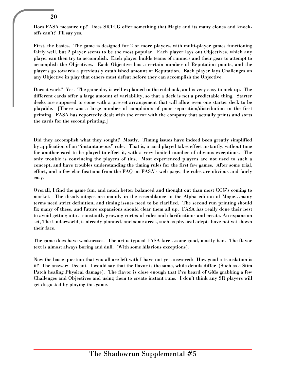Does FASA measure up? Does SRTCG offer something that Magic and its many clones and knockoffs can't? I'll say yes.

First, the basics. The game is designed for 2 or more players, with multi-player games functioning fairly well, but 2 player seems to be the most popular. Each player lays out Objectives, which any player can then try to accomplish. Each player builds teams of runners and their gear to attempt to accomplish the Objectives. Each Objective has a certain number of Reputation points, and the players go towards a previously established amount of Reputation. Each player lays Challenges on any Objective in play that others must defeat before they can accomplish the Objective.

Does it work? Yes. The gameplay is well-explained in the rulebook, and is very easy to pick up. The different cards offer a large amount of variability, so that a deck is not a predictable thing. Starter decks are supposed to come with a pre-set arrangement that will allow even one starter deck to be playable. [There was a large number of complaints of poor separation/distribution in the first printing. FASA has reportedly dealt with the error with the company that actually prints and sorts the cards for the second printing.]

Did they accomplish what they sought? Mostly. Timing issues have indeed been greatly simplified by application of an "instantaneous" rule. That is, a card played takes effect instantly, without time for another card to be played to effect it, with a very limited number of obvious exceptions. The only trouble is convincing the players of this. Most experienced players are not used to such a concept, and have troubles understanding the timing rules for the first few games. After some trial, effort, and a few clarifications from the FAQ on FASA's web page, the rules are obvious and fairly easy.

Overall, I find the game fun, and much better balanced and thought out than most CCG's coming to market. The disadvantages are mainly in the resemblance to the Alpha edition of Magic…many terms need strict definition, and timing issues need to be clarified. The second run printing should fix many of these, and future expansions should clear them all up. FASA has really done their best to avoid getting into a constantly growing vortex of rules and clarifications and errata. An expansion set, The Underworld, is already planned, and some areas, such as physical adepts have not yet shown their face.

The game does have weaknesses. The art is typical FASA fare…some good, mostly bad. The flavor text is almost always boring and dull. (With some hilarious exceptions).

Now the basic question that you all are left with I have not yet answered: How good a translation is it? The answer: Decent. I would say that the flavor is the same, while details differ (Such as a Stim Patch healing Physical damage). The flavor is close enough that I've heard of GMs grabbing a few Challenges and Objectives and using them to create instant runs. I don't think any SR players will get disgusted by playing this game.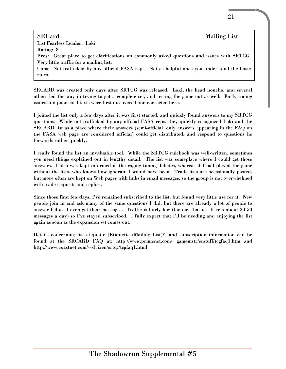#### SRCard Mailing List List Fearless Leader: Loki Rating: 8 Pros: Great place to get clarifications on commonly asked questions and issues with SRTCG. Very little traffic for a mailing list. Cons: Not trafficked by any official FASA reps. Not as helpful once you understand the basic rules.

SRCARD was created only days after SRTCG was released. Loki, the head honcho, and several others led the way in trying to get a complete set, and testing the game out as well. Early timing issues and poor card texts were first discovered and corrected here.

I joined the list only a few days after it was first started, and quickly found answers to my SRTCG questions. While not trafficked by any official FASA reps, they quickly recognized Loki and the SRCARD list as a place where their answers (semi-official, only answers appearing in the FAQ on the FASA web page are considered official) could get distributed, and respond to questions he forwards rather quickly.

I really found the list an invaluable tool. While the SRTCG rulebook was well-written, sometimes you need things explained out in lengthy detail. The list was someplace where I could get those answers. I also was kept informed of the raging timing debates, whereas if I had played the game without the lists, who knows how ignorant I would have been. Trade lists are occasionally posted, but more often are kept on Web pages with links in email messages, so the group is not overwhelmed with trade requests and replies.

Since those first few days, I've remained subscribed to the list, but found very little use for it. New people join in and ask many of the same questions I did, but there are already a lot of people to answer before I even get their messages. Traffic is fairly low (for me, that is. It gets about 20-50 messages a day) so I've stayed subscribed. I fully expect that I'll be needing and enjoying the list again as soon as the expansion set comes out.

Details concerning list etiquette [Etiquette (Mailing List)?] and subscription information can be found at the SRCARD FAQ at: http://www.primenet.com/~gamemstr/srstuff/tcgfaq1.htm and http://www.coastnet.com/~dvixen/srtcg/tcgfaq1.html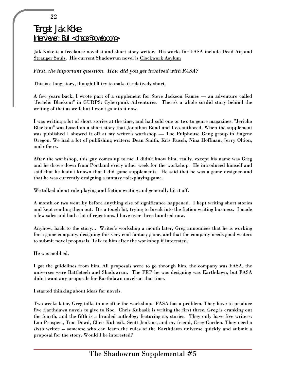# Target: Jak Koke Interviewer: Bull <chaos@ncweb.com>

Jak Koke is a freelance novelist and short story writer. His works for FASA include Dead Air and Stranger Souls. His current Shadowrun novel is Clockwork Asylum

#### *First, the important question. How did you get involved with FASA?*

This is a long story, though I'll try to make it relatively short.

A few years back, I wrote part of a supplement for Steve Jackson Games — an adventure called "Jericho Blackout" in GURPS: Cyberpunk Adventures. There's a whole sordid story behind the writing of that as well, but I won't go into it now.

I was writing a lot of short stories at the time, and had sold one or two to genre magazines. "Jericho Blackout" was based on a short story that Jonathan Bond and I co-authored. When the supplement was published I showed it off at my writer's workshop — The Pulphouse Gang group in Eugene Oregon. We had a lot of publishing writers: Dean Smith, Kris Rusch, Nina Hoffman, Jerry Oltion, and others.

After the workshop, this guy comes up to me. I didn't know him, really, except his name was Greg and he drove down from Portland every other week for the workshop. He introduced himself and said that he hadn't known that I did game supplements. He said that he was a game designer and that he was currently designing a fantasy role-playing game.

We talked about role-playing and fiction writing and generally hit it off.

A month or two went by before anything else of significance happened. I kept writing short stories and kept sending them out. It's a tough lot, trying to break into the fiction writing business. I made a few sales and had a lot of rejections. I have over three hundred now.

Anyhow, back to the story... Writer's workshop a month later, Greg announces that he is working for a game company, designing this very cool fantasy game, and that the company needs good writers to submit novel proposals. Talk to him after the workshop if interested.

He was mobbed.

I got the guidelines from him. All proposals were to go through him, the company was FASA, the universes were Battletech and Shadowrun. The FRP he was designing was Earthdawn, but FASA didn't want any proposals for Earthdawn novels at that time.

I started thinking about ideas for novels.

Two weeks later, Greg talks to me after the workshop. FASA has a problem. They have to produce five Earthdawn novels to give to Roc. Chris Kubasik is writing the first three, Greg is cranking out the fourth, and the fifth is a braided anthology featuring six stories. They only have five writers: Lou Prosperi, Tom Dowd, Chris Kubasik, Scott Jenkins, and my friend, Greg Gorden. They need a sixth writer -- someone who can learn the rules of the Earthdawn universe quickly and submit a proposal for the story. Would I be interested?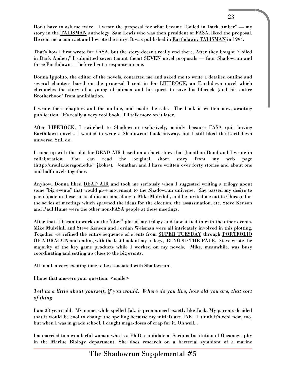Don't have to ask me twice. I wrote the proposal for what became "Coiled in Dark Amber" — my story in the TALISMAN anthology. Sam Lewis who was then president of FASA, liked the proposal. He sent me a contract and I wrote the story. It was published in Earthdawn: TALISMAN in 1994.

That's how I first wrote for FASA, but the story doesn't really end there. After they bought "Coiled in Dark Amber," I submitted seven (count them) SEVEN novel proposals — four Shadowrun and three Earthdawn — before I got a response on one.

Donna Ippolito, the editor of the novels, contacted me and asked me to write a detailed outline and several chapters based on the proposal I sent in for LIFEROCK, an Earthdawn novel which chronicles the story of a young obsidimen and his quest to save his liferock (and his entire Brotherhood) from annihilation.

I wrote these chapters and the outline, and made the sale. The book is written now, awaiting publication. It's really a very cool book. I'll talk more on it later.

After LIFEROCK, I switched to Shadowrun exclusively, mainly because FASA quit buying Earthdawn novels. I wanted to write a Shadowrun book anyway, but I still liked the Earthdawn universe. Still do.

I came up with the plot for DEAD AIR based on a short story that Jonathan Bond and I wrote in collaboration. You can read the original short story from my web page (http://ursula.uoregon.edu/~jkoke/). Jonathan and I have written over forty stories and about one and half novels together.

Anyhow, Donna liked DEAD AIR and took me seriously when I suggested writing a trilogy about some "big events" that would give movement to the Shadowrun universe. She passed my desire to participate in these sorts of discussions along to Mike Mulvihill, and he invited me out to Chicago for the series of meetings which spawned the ideas for the election, the assassination, etc. Steve Kenson and Paul Hume were the other non-FASA people at these meetings.

After that, I began to work on the "uber" plot of my trilogy and how it tied in with the other events. Mike Mulvihill and Steve Kenson and Jordan Weisman were all intricately involved in this plotting. Together we refined the entire sequence of events from SUPER TUESDAY through PORTFOLIO OF A DRAGON and ending with the last book of my trilogy, BEYOND THE PALE. Steve wrote the majority of the key game products while I worked on my novels. Mike, meanwhile, was busy coordinating and setting up clues to the big events.

All in all, a very exciting time to be associated with Shadowrun.

I hope that answers your question.  $\leq$ smile>

#### *Tell us a little about yourself, if you would. Where do you live, how old you are, that sort of thing.*

I am 33 years old. My name, while spelled Jak, is pronounced exactly like Jack. My parents decided that it would be cool to change the spelling because my initials are JAK. I think it's cool now, too, but when I was in grade school, I caught mega-doses of crap for it. Oh well...

I'm married to a wonderful woman who is a Ph.D. candidate at Scripps Institution of Oceanography in the Marine Biology department. She does research on a bacterial symbiont of a marine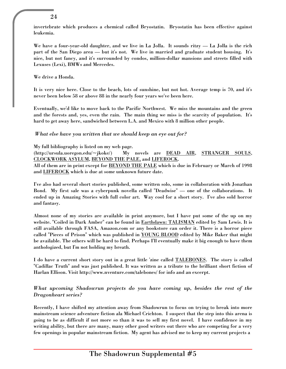invertebrate which produces a chemical called Bryostatin. Bryostatin has been effective against leukemia.

We have a four-year-old daughter, and we live in La Jolla. It sounds ritzy — La Jolla is the rich part of the San Diego area — but it's not. We live in married and graduate student housing. It's nice, but not fancy, and it's surrounded by condos, million-dollar mansions and streets filled with Lexuses (Lexi), BMWs and Mercedes.

We drive a Honda.

It is very nice here. Close to the beach, lots of sunshine, but not hot. Average temp is 70, and it's never been below 58 or above 88 in the nearly four years we've been here.

Eventually, we'd like to move back to the Pacific Northwest. We miss the mountains and the green and the forests and, yes, even the rain. The main thing we miss is the scarcity of population. It's hard to get away here, sandwiched between L.A. and Mexico with 8 million other people.

#### *What else have you written that we should keep an eye out for?*

My full bibliography is listed on my web page.

(http://ursula.uoregon.edu/~jkoke/) My novels are DEAD AIR, STRANGER SOULS, CLOCKWORK ASYLUM, BEYOND THE PALE, and LIFEROCK.

All of them are in print except for BEYOND THE PALE which is due in February or March of 1998 and LIFEROCK which is due at some unknown future date.

I've also had several short stories published, some written solo, some in collaboration with Jonathan Bond. My first sale was a cyberpunk novella called "Deadwise" — one of the collaborations. It ended up in Amazing Stories with full color art. Way cool for a short story. I've also sold horror and fantasy.

Almost none of my stories are available in print anymore, but I have put some of the up on my website. "Coiled in Dark Amber" can be found in Earthdawn: TALISMAN edited by Sam Lewis. It is still available through FASA, Amazon.com or any bookstore can order it. There is a horror piece called "Pieces of Prison" which was published in YOUNG BLOOD edited by Mike Baker that might be available. The others will be hard to find. Perhaps I'll eventually make it big enough to have them anthologized, but I'm not holding my breath.

I do have a current short story out in a great little 'zine called TALEBONES. The story is called "Cadillac Truth" and was just published. It was written as a tribute to the brilliant short fiction of Harlan Ellison. Visit http://www.nventure.com/talebones/ for info and an excerpt.

#### *What upcoming Shadowrun projects do you have coming up, besides the rest of the Dragonheart series?*

Recently, I have shifted my attention away from Shadowrun to focus on trying to break into more mainstream science adventure fiction ala Michael Crichton. I suspect that the step into this arena is going to be as difficult if not more so than it was to sell my first novel. I have confidence in my writing ability, but there are many, many other good writers out there who are competing for a very few openings in popular mainstream fiction. My agent has advised me to keep my current projects a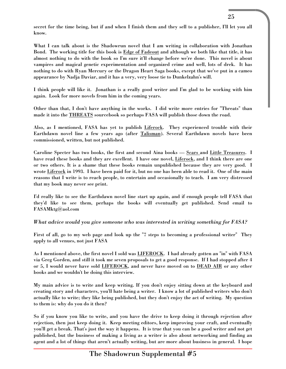What I can talk about is the Shadowrun novel that I am writing in collaboration with Jonathan Bond. The working title for this book is Edge of Fadeout and although we both like that title, it has almost nothing to do with the book so I'm sure it'll change before we're done. This novel is about vampires and magical genetic experimentation and organized crime and well, lots of drek. It has nothing to do with Ryan Mercury or the Dragon Heart Saga books, except that we've put in a cameo appearance by Nadja Daviar, and it has a very, very loose tie to Dunkelzahn's will.

I think people will like it. Jonathan is a really good writer and I'm glad to be working with him again. Look for more novels from him in the coming years.

Other than that, I don't have anything in the works. I did write more entries for "Threats" than made it into the THREATS sourcebook so perhaps FASA will publish those down the road.

Also, as I mentioned, FASA has yet to publish Liferock. They experienced trouble with their Earthdawn novel line a few years ago (after Talisman). Several Earthdawn novels have been commissioned, written, but not published.

Caroline Specter has two books, the first and second Aina books — Scars and Little Treasures. I have read these books and they are excellent. I have one novel, Liferock, and I think there are one or two others. It is a shame that these books remain unpublished because they are very good. I wrote Liferock in 1993. I have been paid for it, but no one has been able to read it. One of the main reasons that I write is to reach people, to entertain and occasionally to teach. I am very distressed that my book may never see print.

I'd really like to see the Earthdawn novel line start up again, and if enough people tell FASA that they'd like to see them, perhaps the books will eventually get published. Send email to FASAMktg@aol.com

#### *What advice would you give someone who was interested in writing something for FASA?*

First of all, go to my web page and look up the "7 steps to becoming a professional writer" They apply to all venues, not just FASA

As I mentioned above, the first novel I sold was LIFEROCK. I had already gotten an "in" with FASA via Greg Gorden, and still it took me seven proposals to get a good response. If I had stopped after 4 or 5, I would never have sold LIFEROCK, and never have moved on to DEAD AIR or any other books and we wouldn't be doing this interview.

My main advice is to write and keep writing. If you don't enjoy sitting down at the keyboard and creating story and characters, you'll hate being a writer. I know a lot of published writers who don't actually like to write; they like being published, but they don't enjoy the act of writing. My question to them is: why do you do it then?

So if you know you like to write, and you have the drive to keep doing it through rejection after rejection, then just keep doing it. Keep meeting editors, keep improving your craft, and eventually you'll get a break. That's just the way it happens. It is true that you can be a good writer and not get published, but the business of making a living as a writer is also about networking and finding an agent and a lot of things that aren't actually writing, but are more about business in general. I hope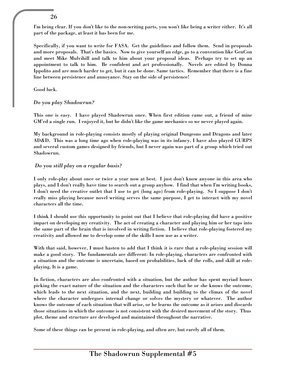I'm being clear. If you don't like to the non-writing parts, you won't like being a writer either. It's all part of the package, at least it has been for me.

Specifically, if you want to write for FASA. Get the guidelines and follow them. Send in proposals and more proposals. That's the basics. Now to give yourself an edge, go to a convention like GenCon and meet Mike Mulvihill and talk to him about your proposal ideas. Perhaps try to set up an appointment to talk to him. Be confident and act professionally. Novels are edited by Donna Ippolito and are much harder to get, but it can be done. Same tactics. Remember that there is a fine line between persistence and annoyance. Stay on the side of persistence!

Good luck.

#### *Do you play Shadowrun?*

This one is easy. I have played Shadowrun once. When first edition came out, a friend of mine GM'ed a single run. I enjoyed it, but he didn't like the game mechanics so we never played again.

My background in role-playing consists mostly of playing original Dungeons and Dragons and later AD&D. This was a long time ago when role-playing was in its infancy. I have also played GURPS and several custom games designed by friends, but I never again was part of a group which tried out Shadowrun.

#### *Do you still play on a regular basis?*

I only role-play about once or twice a year now at best. I just don't know anyone in this area who plays, and I don't really have time to search out a group anyhow. I find that when I'm writing books, I don't need the creative outlet that I use to get (long ago) from role-playing. So I suppose I don't really miss playing because novel writing serves the same purpose, I get to interact with my novel characters all the time.

I think I should use this opportunity to point out that I believe that role-playing did have a positive impact on developing my creativity. The act of creating a character and playing him or her taps into the same part of the brain that is involved in writing fiction. I believe that role-playing fostered my creativity and allowed me to develop some of the skills I now use as a writer.

With that said, however, I must hasten to add that I think it is rare that a role-playing session will make a good story. The fundamentals are different: In role-playing, characters are confronted with a situation and the outcome is uncertain, based on probabilities, luck of the rolls, and skill at roleplaying. It is a game.

In fiction, characters are also confronted with a situation, but the author has spent myriad hours picking the exact nature of the situation and the characters such that he or she knows the outcome, which leads to the next situation, and the next, building and building to the climax of the novel where the character undergoes internal change or solves the mystery or whatever. The author knows the outcome of each situation that will arise, or he learns the outcome as it arises and discards those situations in which the outcome is not consistent with the desired movement of the story. Thus plot, theme and structure are developed and maintained throughout the narrative.

Some of these things can be present in role-playing, and often are, but rarely all of them.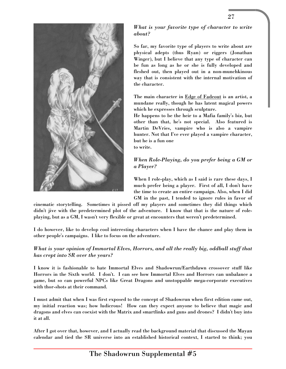

*What is your favorite type of character to write about?*

27

So far, my favorite type of players to write about are physical adepts (thus Ryan) or riggers (Jonathan Winger), but I believe that any type of character can be fun as long as he or she is fully developed and fleshed out, then played out in a non-munchkinous way that is consistent with the internal motivation of the character.

The main character in Edge of Fadeout is an artist, a mundane really, though he has latent magical powers which he expresses through sculpture.

He happens to be the heir to a Mafia family's biz, but other than that, he's not special. Also featured is Martin DeVries, vampire who is also a vampire hunter. Not that I've ever played a vampire character, but he is a fun one to write.

#### *When Role-Playing, do you prefer being a GM or a Player?*

When I role-play, which as I said is rare these days, I much prefer being a player. First of all, I don't have the time to create an entire campaign. Also, when I did GM in the past, I tended to ignore rules in favor of

cinematic storytelling. Sometimes it pissed off my players and sometimes they did things which didn't jive with the predetermined plot of the adventure. I know that that is the nature of roleplaying, but as a GM, I wasn't very flexible or great at encounters that weren't predetermined.

I do however, like to develop cool interesting characters when I have the chance and play them in other people's campaigns. I like to focus on the adventure.

#### *What is your opinion of Immortal Elves, Horrors, and all the really big, oddball stuff that has crept into SR over the years?*

I know it is fashionable to hate Immortal Elves and Shadowrun/Earthdawn crossover stuff like Horrors in the Sixth world. I don't. I can see how Immortal Elves and Horrors can unbalance a game, but so can powerful NPCs like Great Dragons and unstoppable mega-corporate executives with thor-shots at their command.

I must admit that when I was first exposed to the concept of Shadowrun when first edition came out, my initial reaction was; how ludicrous! How can they expect anyone to believe that magic and dragons and elves can coexist with the Matrix and smartlinks and guns and drones? I didn't buy into it at all.

After I got over that, however, and I actually read the background material that discussed the Mayan calendar and tied the SR universe into an established historical context, I started to think; you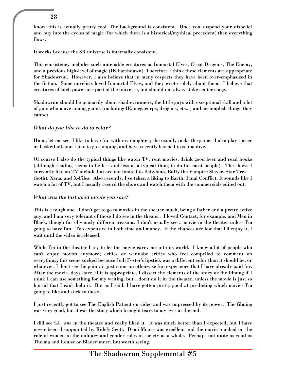know, this is actually pretty cool. The background is consistent. Once you suspend your disbelief and buy into the cycles of magic (for which there is a historical/mythical precedent) then everything flows.

It works because the SR universe is internally consistent.

This consistency includes such untenable creatures as Immortal Elves, Great Dragons, The Enemy, and a previous high-level of magic (IE Earthdawn). Therefore I think these elements are appropriate for Shadowrun. However, I also believe that in many respects they have been over-emphasized in the fiction. Some novelists loved Immortal Elves, and they wrote solely about them. I believe that creatures of such power are part of the universe, but should not always take center stage.

Shadowrun should be primarily about shadowrunners, the little guys with exceptional skill and a lot of guts who move among giants (including IE, megacorps, dragons, etc...) and accomplish things they cannot.

#### *What do you like to do to relax?*

Hmm, let me see. I like to have fun with my daughter; she usually picks the game. I also play soccer or basketball, and I like to go camping, and have recently learned to scuba dive.

Of course I also do the typical things like watch TV, rent movies, drink good beer and read books (although reading seems to be less and less of a typical thing to do for most people). The shows I currently like on TV include but are not limited to Babylon5, Buffy the Vampire Slayer, Star Trek (both), Xena, and X-Files. Also recently, I've taken a liking to Earth: Final Conflict. It sounds like I watch a lot of TV, but I usually record the shows and watch them with the commercials edited out.

#### *What was the last good movie you saw?*

This is a tough one. I don't get to go to movies in the theater much, being a father and a pretty active guy, and I am very tolerant of those I do see in the theater. I loved Contact, for example, and Men in Black, though for obviously different reasons. I don't usually see a movie in the theater unless I'm going to have fun. Too expensive in both time and money. If the chances are low that I'll enjoy it, I wait until the video is released.

While I'm in the theater I try to let the movie carry me into its world. I know a lot of people who can't enjoy movies anymore; critics or wannabe critics who feel compelled to comment on everything; this scene sucked because Jodi Foster's lipstick was a different color than it should be, or whatever. I don't see the point; it just ruins an otherwise fun experience that I have already paid for. After the movie, days later, if it is appropriate, I dissect the elements of the story or the filming if I think I can use something for my writing, but I don't do it in the theater, unless the movie is just so horrid that I can't help it. But as I said, I have gotten pretty good at predicting which movies I'm going to like and stick to those.

I just recently got to see The English Patient on video and was impressed by its power. The filming was very good, but it was the story which brought tears to my eyes at the end.

I did see GI Jane in the theater and really liked it. It was much better than I expected, but I have never been disappointed by Ridely Scott. Demi Moore was excellent and the movie touched on the role of women in the military and gender roles in society as a whole. Perhaps not quite as good as Thelma and Louise or Bladerunner, but worth seeing.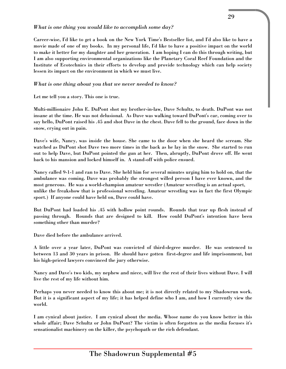#### *What is one thing you would like to accomplish some day?*

Career-wise, I'd like to get a book on the New York Time's Bestseller list, and I'd also like to have a movie made of one of my books. In my personal life, I'd like to have a positive impact on the world to make it better for my daughter and her generation. I am hoping I can do this through writing, but I am also supporting environmental organizations like the Planetary Coral Reef Foundation and the Institute of Ecotechnics in their efforts to develop and provide technology which can help society lessen its impact on the environment in which we must live.

#### *What is one thing about you that we never needed to know?*

Let me tell you a story. This one is true.

Multi-millionaire John E. DuPont shot my brother-in-law, Dave Schultz, to death. DuPont was not insane at the time. He was not delusional. As Dave was walking toward DuPont's car, coming over to say hello, DuPont raised his .45 and shot Dave in the chest. Dave fell to the ground, face down in the snow, crying out in pain.

Dave's wife, Nancy, was inside the house. She came to the door when she heard the scream. She watched as DuPont shot Dave two more times in the back as he lay in the snow. She started to run out to help Dave, but DuPont pointed the gun at her. Then, abruptly, DuPont drove off. He went back to his mansion and locked himself in. A stand-off with police ensued.

Nancy called 9-1-1 and ran to Dave. She held him for several minutes urging him to hold on, that the ambulance was coming. Dave was probably the strongest willed person I have ever known, and the most generous. He was a world-champion amateur wrestler (Amateur wrestling is an actual sport, unlike the freakshow that is professional wrestling. Amateur wrestling was in fact the first Olympic sport.) If anyone could have held on, Dave could have.

But DuPont had loaded his .45 with hollow point rounds. Rounds that tear up flesh instead of passing through. Rounds that are designed to kill. How could DuPont's intention have been something other than murder?

Dave died before the ambulance arrived.

A little over a year later, DuPont was convicted of third-degree murder. He was sentenced to between 13 and 30 years in prison. He should have gotten first-degree and life imprisonment, but his high-priced lawyers convinced the jury otherwise.

Nancy and Dave's two kids, my nephew and niece, will live the rest of their lives without Dave. I will live the rest of my life without him.

Perhaps you never needed to know this about me; it is not directly related to my Shadowrun work. But it is a significant aspect of my life; it has helped define who I am, and how I currently view the world.

I am cynical about justice. I am cynical about the media. Whose name do you know better in this whole affair; Dave Schultz or John DuPont? The victim is often forgotten as the media focuses it's sensationalist machinery on the killer, the psychopath or the rich defendant.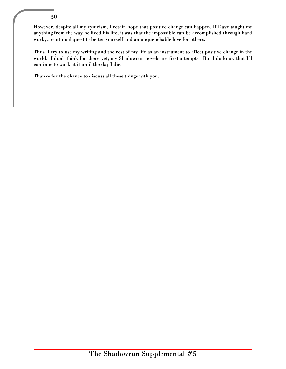However, despite all my cynicism, I retain hope that positive change can happen. If Dave taught me anything from the way he lived his life, it was that the impossible can be accomplished through hard work, a continual quest to better yourself and an unquenchable love for others.

Thus, I try to use my writing and the rest of my life as an instrument to affect positive change in the world. I don't think I'm there yet; my Shadowrun novels are first attempts. But I do know that I'll continue to work at it until the day I die.

Thanks for the chance to discuss all these things with you.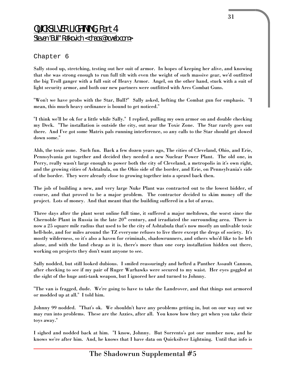# QUICKSILVER LIGHTNING, Part 4 Steven "Bull" Ratkovich <chaos@ncweb.com>

#### Chapter 6

Sally stood up, stretching, testing out her suit of armor. In hopes of keeping her alive, and knowing that she was strong enough to run full tilt with even the weight of such massive gear, we'd outfitted the big Troll ganger with a full suit of Heavy Armor. Angel, on the other hand, stuck with a suit of light security armor, and both our new partners were outfitted with Ares Combat Guns.

"Won't we have probs with the Star, Bull?" Sally asked, hefting the Combat gun for emphasis. "I mean, this much heavy ordinance is bound to get noticed."

"I think we'll be ok for a little while Sally." I replied, pulling my own armor on and double checking my Deck. "The installation is outside the city, out near the Toxic Zone. The Star rarely goes out there. And I've got some Matrix pals running interference, so any calls to the Star should get slowed down some."

Ahh, the toxic zone. Such fun. Back a few dozen years ago, The cities of Cleveland, Ohio, and Erie, Pennsylvania got together and decided they needed a new Nuclear Power Plant. The old one, in Perry, really wasn't large enough to power both the city of Cleveland, a metropolis in it's own right, and the growing cities of Ashtabula, on the Ohio side of the border, and Erie, on Pennsylvania's side of the border. They were already close to growing together into a sprawl back then.

The job of building a new, and very large Nuke Plant was contracted out to the lowest bidder, of course, and that proved to be a major problem. The contractor decided to skim money off the project. Lots of money. And that meant that the building suffered in a lot of areas.

Three days after the plant went online full time, it suffered a major meltdown, the worst since the Chernoble Plant in Russia in the late  $20<sup>th</sup>$  century, and irradiated the surrounding area. There is now a 25 square mile radius that used to be the city of Ashtabula that's now mostly an unlivable toxic hell-hole, and for miles around the TZ everyone refuses to live there except the dregs of society. It's mostly wilderness, so it's also a haven for criminals, shadowrunners, and others who'd like to be left alone, and with the land cheap as it is, there's more than one corp installation hidden out there, working on projects they don't want anyone to see.

Sally nodded, but still looked dubious. I smiled reassuringly and hefted a Panther Assault Cannon, after checking to see if my pair of Ruger Warhawks were secured to my waist. Her eyes goggled at the sight of the huge anti-tank weapon, but I ignored her and turned to Johnny.

"The van is fragged, dude. We're going to have to take the Landrover, and that things not armored or modded up at all." I told him.

Johnny 99 nodded. "That's ok. We shouldn't have any problems getting in, but on our way out we may run into problems. These are the Azzies, after all. You know how they get when you take their toys away."

I sighed and nodded back at him. "I know, Johnny. But Sorrento's got our number now, and he knows we're after him. And, he knows that I have data on Quicksilver Lightning. Until that info is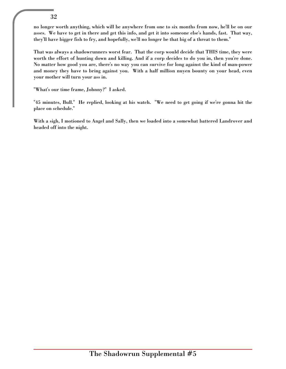no longer worth anything, which will be anywhere from one to six months from now, he'll be on our asses. We have to get in there and get this info, and get it into someone else's hands, fast. That way, they'll have bigger fish to fry, and hopefully, we'll no longer be that big of a threat to them."

That was always a shadowrunners worst fear. That the corp would decide that THIS time, they were worth the effort of hunting down and killing. And if a corp decides to do you in, then you're done. No matter how good you are, there's no way you can survive for long against the kind of man-power and money they have to bring against you. With a half million nuyen bounty on your head, even your mother will turn your ass in.

"What's our time frame, Johnny?" I asked.

"45 minutes, Bull." He replied, looking at his watch. "We need to get going if we're gonna hit the place on schedule."

With a sigh, I motioned to Angel and Sally, then we loaded into a somewhat battered Landrover and headed off into the night.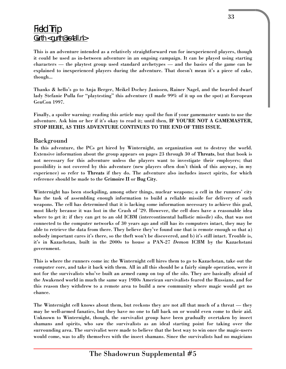# Field Trip Gurth <gurth@xs4all.nl>

This is an adventure intended as a relatively straightforward run for inexperienced players, though it could be used as in-between adventure in an ongoing campaign. It can be played using starting characters — the playtest group used standard archetypes — and the basics of the game can be explained to inexperienced players during the adventure. That doesn't mean it's a piece of cake, though...

Thanks & hello's go to Anja Berger, Meikel Dschey Janissen, Rainer Nagel, and the bearded dwarf lady Stefanie Pulla for "playtesting" this adventure (I made 99% of it up on the spot) at European GenCon 1997.

Finally, a spoiler warning: reading this article may spoil the fun if your gamemaster wants to use the adventure. Ask him or her if it's okay to read it; until then, IF YOU'RE NOT A GAMEMASTER, STOP HERE, AS THIS ADVENTURE CONTINUES TO THE END OF THIS ISSUE.

#### Background

In this adventure, the PCs get hired by Winternight, an organization out to destroy the world. Extensive information about the group appears on pages 23 through 30 of Threats, but that book is not necessary for this adventure unless the players want to investigate their employers; that possibility is not covered by this adventure (new players often don't think of this anyway, in my experience) so refer to Threats if they do. The adventure also includes insect spirits, for which reference should be made to the Grimoire II or Bug City.

Winternight has been stockpiling, among other things, nuclear weapons; a cell in the runners' city has the task of assembling enough information to build a reliable missile for delivery of such weapons. The cell has determined that it is lacking some information necessary to achieve this goal, most likely because it was lost in the Crash of '29. However, the cell does have a reasonable idea where to get it: if they can get to an old ICBM (intercontinental ballistic missile) silo, that was not connected to the computer networks of 30 years ago and still has its computers intact, they may be able to retrieve the data from there. They believe they've found one that is remote enough so that a) nobody important cares it's there, so the theft won't be discovered, and b) it's still intact. Trouble is, it's in Kazachstan, built in the 2000s to house a PAN-27 *Demon* ICBM by the Kazachstani government.

This is where the runners come in: the Winternight cell hires them to go to Kazachstan, take out the computer core, and take it back with them. All in all this should be a fairly simple operation, were it not for the survivalists who've built an armed camp on top of the silo. They are basically afraid of the Awakened world in much the same way 1980s American survivalists feared the Russians, and for this reason they withdrew to a remote area to build a new community where magic would get no chance.

The Winternight cell knows about them, but reckons they are not all that much of a threat — they may be well-armed fanatics, but they have no one to fall back on or would even come to their aid. Unknown to Winternight, though, the survivalist group have been gradually overtaken by insect shamans and spirits, who saw the survivalists as an ideal starting point for taking over the surrounding area. The survivalist were made to believe that the best way to win once the magic-users would come, was to ally themselves with the insect shamans. Since the survivalists had no magicians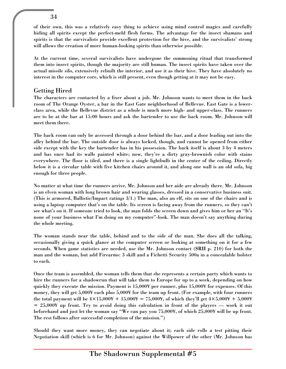of their own, this was a relatively easy thing to achieve using mind control magics and carefully hiding all spirits except the perfect-meld flesh forms. The advantage for the insect shamans and spirits is that the survivalists provide excellent protection for the hive, and the survivalists' strong will allows the creation of more human-looking spirits than otherwise possible.

At the current time, several survivalists have undergone the summoning ritual that transformed them into insect spirits, though the majority are still human. The insect spirits have taken over the actual missile silo, extensively rebuilt the interior, and use it as their hive. They have absolutely no interest in the computer core, which is still present, even though getting at it may not be easy.

## Getting Hired

The characters are contacted by a fixer about a job. Mr. Johnson wants to meet them in the back room of The Orange Oyster, a bar in the East Gate neighborhood of Bellevue. East Gate is a lowerclass area, while the Bellevue district as a whole is much more high- and upper-class. The runners are to be at the bar at 15:00 hours and ask the bartender to use the back room. Mr. Johnson will meet them there.

The back room can only be accessed through a door behind the bar, and a door leading out into the alley behind the bar. The outside door is always locked, though, and cannot be opened from either side except with the key the bartender has in his possession. The back itself is about 3 by 4 meters and has once had its walls painted white; now, they're a dirty gray-brownish color with stains everywhere. The floor is tiled, and there is a single lightbulb in the center of the ceiling. Directly below it is a circular table with five kitchen chairs around it, and along one wall is an old sofa, big enough for three people.

No matter at what time the runners arrive, Mr. Johnson and her aide are already there. Mr. Johnson is an elven woman with long brown hair and wearing glasses, dressed in a conservative business suit. (This is armored, Ballistic/Impact ratings 3/1.) The man, also an elf, sits on one of the chairs and is using a laptop computer that's on the table. Its screen is facing away from the runners, so they can't see what's on it. If someone tried to look, the man folds the screen down and gives him or her an "It's none of your business what I'm doing on my computer"-look. The man doesn't say anything during the whole meeting.

The woman stands near the table, behind and to the side of the man. She does all the talking, occasionally giving a quick glance at the computer screen or looking at something on it for a few seconds. When game statistics are needed, use the Mr. Johnson contact (SRII p. 210) for both the man and the woman, but add Firearms: 3 skill and a Fichetti Security 500a in a concealable holster to each.

Once the team is assembled, the woman tells them that she represents a certain party which wants to hire the runners for a shadowrun that will take them to Europe for up to a week, depending on how quickly they execute the mission. Payment is 15,000¥ per runner, plus 15,000¥ for expenses. Of this money, they will get 5,000¥ each plus 5,000¥ for the team up front. (For example, with four runners the total payment will be  $4\times15,000+15,000+75,000+6$  which they'll get  $4\times5,000+5,000+7$  $= 25,000Y$  up front. Try to avoid doing this calculation in front of the players — work it out beforehand and just let the woman say "We can pay you 75,000¥, of which 25,000¥ will be up front. The rest follows after successful completion of the mission.")

Should they want more money, they can negotiate about it; each side rolls a test pitting their Negotiation skill (which is 6 for Mr. Johnson) against the Willpower of the other (Mr. Johnson has

34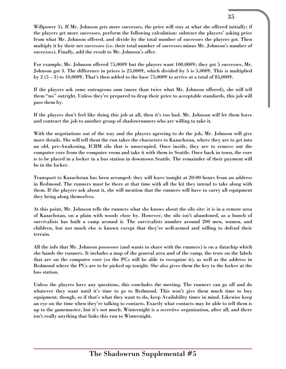Willpower 5). If Mr. Johnson gets more successes, the price will stay at what she offered initially; if the players get more successes, perform the following calculation: subtract the players' asking price from what Mr. Johnson offered, and divide by the total number of successes the players got. Then multiply it by their net successes (i.e. their total number of successes minus Mr. Johnson's number of successes). Finally, add the result to Mr. Johnson's offer.

For example, Mr. Johnson offered 75,000¥ but the players want 100,000¥; they got 5 successes, Mr. Johnson got 3. The difference in prices is 25,000¥, which divided by 5 is 5,000¥. This is multiplied by 2  $(5-3)$  to 10,000¥. That's then added to the base 75,000¥ to arrive at a total of 85,000¥.

If the players ask some outrageous sum (more than twice what Mr. Johnson offered), she will tell them "no" outright. Unless they're prepared to drop their price to acceptable standards, this job will pass them by.

If the players don't feel like doing this job at all, then it's too bad. Mr. Johnson will let them leave and contract the job to another group of shadowrunners who are willing to take it.

With the negotiations out of the way and the players agreeing to do the job, Mr. Johnson will give more details. She will tell them the run takes the characters to Kazachstan, where they are to get into an old, pre-Awakening, ICBM silo that is unoccupied. Once inside, they are to remove out the computer core from the computer room and take it with them to Seattle. Once back in town, the core is to be placed in a locker in a bus station in downtown Seattle. The remainder of their payment will be in the locker.

Transport to Kazachstan has been arranged: they will leave tonight at 20:00 hours from an address in Redmond. The runners must be there at that time with all the kit they intend to take along with them. If the players ask about it, she will mention that the runners will have to carry all equipment they bring along themselves.

At this point, Mr. Johnson tells the runners what she knows about the silo site: it is in a remote area of Kazachstan, on a plain with woods close by. However, the silo isn't abandoned, as a bunch of survivalists has built a camp around it. The survivalists number around 200 men, women, and children, but not much else is known except that they're well-armed and willing to defend their terrain.

All the info that Mr. Johnson possesses (and wants to share with the runners) is on a datachip which she hands the runners. It includes a map of the general area and of the camp, the texts on the labels that are on the computer core (so the PCs will be able to recognize it), as well as the address in Redmond where the PCs are to be picked up tonight. She also gives them the key to the locker at the bus station.

Unless the players have any questions, this concludes the meeting. The runners can go off and do whatever they want until it's time to go to Redmond. This won't give them much time to buy equipment, though, so if that's what they want to do, keep Availability times in mind. Likewise keep an eye on the time when they're talking to contacts. Exactly what contacts may be able to tell them is up to the gamemaster, but it's not much. Winternight is a secretive organization, after all, and there isn't really anything that links this run to Winternight.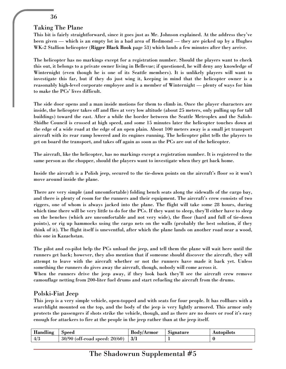#### Taking The Plane

This bit is fairly straightforward, since it goes just as Mr. Johnson explained. At the address they've been given — which is an empty lot in a bad area of Redmond — they are picked up by a Hughes WK-2 Stallion helicopter (Rigger Black Book page 53) which lands a few minutes after they arrive.

The helicopter has no markings except for a registration number. Should the players want to check this out, it belongs to a private owner living in Bellevue; if questioned, he will deny any knowledge of Winternight (even though he is one of its Seattle members). It is unlikely players will want to investigate this far, but if they do just wing it, keeping in mind that the helicopter owner is a reasonably high-level corporate employee and is a member of Winternight — plenty of ways for him to make the PCs' lives difficult.

The side door opens and a man inside motions for them to climb in. Once the player characters are inside, the helicopter takes off and flies at very low altitude (about 25 meters, only pulling up for tall buildings) toward the east. After a while the border between the Seattle Metroplex and the Salish-Shidhe Council is crossed at high speed, and some 15 minutes later the helicopter touches down at the edge of a wide road at the edge of an open plain. About 100 meters away is a small jet transport aircraft with its rear ramp lowered and its engines running. The helicopter pilot tells the players to get on board the transport, and takes off again as soon as the PCs are out of the helicopter.

The aircraft, like the helicopter, has no markings except a registration number. It is registered to the same person as the chopper, should the players want to investigate when they get back home.

Inside the aircraft is a Polish jeep, secured to the tie-down points on the aircraft's floor so it won't move around inside the plane.

There are very simple (and uncomfortable) folding bench seats along the sidewalls of the cargo bay, and there is plenty of room for the runners and their equipment. The aircraft's crew consists of two riggers, one of whom is always jacked into the plane. The flight will take some 28 hours, during which time there will be very little to do for the PCs. If they want to sleep, they'll either have to sleep on the benches (which are uncomfortable and not very wide), the floor (hard and full of tie-down points), or rig up hammocks using the cargo nets on the walls (probably the best solution, if they think of it). The flight itself is uneventful, after which the plane lands on another road near a wood, this one in Kazachstan.

The pilot and co-pilot help the PCs unload the jeep, and tell them the plane will wait here until the runners get back; however, they also mention that if someone should discover the aircraft, they will attempt to leave with the aircraft whether or not the runners have made it back yet. Unless something the runners do gives away the aircraft, though, nobody will come across it.

When the runners drive the jeep away, if they look back they'll see the aircraft crew remove camouflage netting from 200-liter fuel drums and start refueling the aircraft from the drums.

#### Polski-Fiat Jeep

This jeep is a very simple vehicle, open-topped and with seats for four people. It has rollbars with a searchlight mounted on the top, and the body of the jeep is very lightly armored. This armor only protects the passengers if shots strike the vehicle, though, and as there are no doors or roof it's easy enough for attackers to fire at the people in the jeep rather than at the jeep itself.

| Handling | Speed                              | Bodv/Armor | Signature | Autopilots |
|----------|------------------------------------|------------|-----------|------------|
| 4/3      | $30/90$ (off-road speed: $20/60$ ) | 3/1        |           |            |

# The Shadowrun Supplemental #5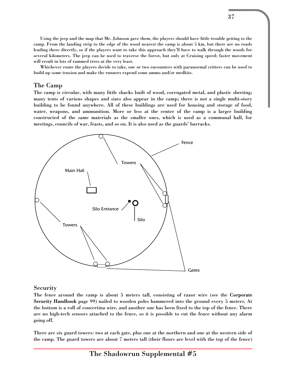Using the jeep and the map that Mr. Johnson gave them, the players should have little trouble getting to the camp. From the landing strip to the edge of the wood nearest the camp is about 5 km, but there are no roads leading there directly, so if the players want to take this approach they'll have to walk through the woods for several kilometers. The jeep can be used to traverse the forest, but only at Cruising speed; faster movement will result in lots of rammed trees at the very least.

Whichever route the players decide to take, one or two encounters with paranormal critters can be used to build up some tension and make the runners expend some ammo and/or medkits.

#### The Camp

The camp is circular, with many little shacks built of wood, corrugated metal, and plastic sheeting; many tents of various shapes and sizes also appear in the camp; there is not a single multi-story building to be found anywhere. All of these buildings are used for housing and storage of food, water, weapons, and ammunition. More or less at the center of the camp is a larger building constructed of the same materials as the smaller ones, which is used as a communal hall, for meetings, councils of war, feasts, and so on. It is also used as the guards' barracks.



#### **Security**

The fence around the camp is about 5 meters tall, consisting of razor wire (see the Corporate Security Handbook page 99) nailed to wooden poles hammered into the ground every 5 meters. At the bottom is a roll of concertina wire, and another one has been fixed to the top of the fence. There are no high-tech sensors attached to the fence, so it is possible to cut the fence without any alarm going off.

There are six guard towers: two at each gate, plus one at the northern and one at the western side of the camp. The guard towers are about 7 meters tall (their floors are level with the top of the fence)

The Shadowrun Supplemental #5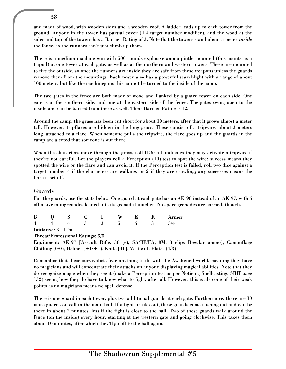and made of wood, with wooden sides and a wooden roof. A ladder leads up to each tower from the ground. Anyone in the tower has partial cover (+4 target number modifier), and the wood at the sides and top of the towers has a Barrier Rating of 3. Note that the towers stand about a meter *inside* the fence, so the runners can't just climb up them.

There is a medium machine gun with 500 rounds explosive ammo pintle-mounted (this counts as a tripod) at one tower at each gate, as well as at the northern and western towers. These are mounted to fire the outside, so once the runners are inside they are safe from these weapons unless the guards remove them from the mountings. Each tower also has a powerful searchlight with a range of about 100 meters, but like the machineguns this cannot be turned to the inside of the camp.

The two gates in the fence are both made of wood and flanked by a guard tower on each side. One gate is at the southern side, and one at the eastern side of the fence. The gates swing open to the inside and can be barred from there as well. Their Barrier Rating is 12.

Around the camp, the grass has been cut short for about 10 meters, after that it grows almost a meter tall. However, tripflares are hidden in the long grass. These consist of a tripwire, about 3 meters long, attached to a flare. When someone pulls the tripwire, the flare goes up and the guards in the camp are alerted that someone is out there.

When the characters move through the grass, roll 1D6: a 1 indicates they may activate a tripwire if they're not careful. Let the players roll a Perception (10) test to spot the wire; success means they spotted the wire or the flare and can avoid it. If the Perception test is failed, roll two dice against a target number 4 if the characters are walking, or 2 if they are crawling; any successes means the flare is set off.

#### Guards

For the guards, use the stats below. One guard at each gate has an AK-98 instead of an AK-97, with 6 offensive minigrenades loaded into its grenade launcher. No spare grenades are carried, though.

|  |  |  |  | B O S C I W E R Armor                         |
|--|--|--|--|-----------------------------------------------|
|  |  |  |  | $4 \t 4 \t 4 \t 3 \t 3 \t 5 \t 6 \t 3 \t 5/4$ |
|  |  |  |  |                                               |

Initiative: 3+1D6

#### Threat/Professional Ratings: 3/3

Equipment: AK-97 [Assault Rifle, 38 (c), SA/BF/FA, 8M, 3 clips Regular ammo), Camouflage Clothing  $(0/0)$ , Helmet  $(+1/+1)$ , Knife [4L], Vest with Plates  $(4/3)$ 

Remember that these survivalists fear anything to do with the Awakened world, meaning they have no magicians and will concentrate their attacks on anyone displaying magical abilities. Note that they do recognize magic when they see it (make a Perception test as per Noticing Spellcasting, SRII page 132) seeing how they do have to know what to fight, after all. However, this is also one of their weak points as no magicians means no spell defense.

There is one guard in each tower, plus two additional guards at each gate. Furthermore, there are 10 more guards on call in the main hall. If a fight breaks out, these guards come rushing out and can be there in about 2 minutes, less if the fight is close to the hall. Two of these guards walk around the fence (on the inside) every hour, starting at the western gate and going clockwise. This takes them about 10 minutes, after which they'll go off to the hall again.

#### 38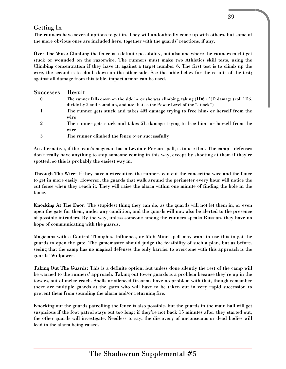## Getting In

The runners have several options to get in. They will undoubtedly come up with others, but some of the more obvious ones are included here, together with the guards' reactions, if any.

Over The Wire: Climbing the fence is a definite possibility, but also one where the runners might get stuck or wounded on the razorwire. The runners must make two Athletics skill tests, using the Climbing concentration if they have it, against a target number 6. The first test is to climb up the wire, the second is to climb down on the other side. See the table below for the results of the test; against all damage from this table, impact armor can be used.

| Successes      | Result                                                                                             |
|----------------|----------------------------------------------------------------------------------------------------|
| $\mathbf{0}$   | The runner falls down on the side he or she was climbing, taking $(1D6 \div 2)D$ damage (roll 1D6, |
|                | divide by 2 and round up, and use that as the Power Level of the "attack")                         |
|                | The runner gets stuck and takes 4M damage trying to free him- or herself from the                  |
|                | wire                                                                                               |
| $\overline{2}$ | The runner gets stuck and takes 5L damage trying to free him- or herself from the                  |
|                | wire                                                                                               |
| $3+$           | The runner climbed the fence over successfully                                                     |

An alternative, if the team's magician has a Levitate Person spell, is to use that. The camp's defenses don't really have anything to stop someone coming in this way, except by shooting at them if they're spotted, so this is probably the easiest way in.

Through The Wire: If they have a wirecutter, the runners can cut the concertina wire and the fence to get in more easily. However, the guards that walk around the perimeter every hour will notice the cut fence when they reach it. They will raise the alarm within one minute of finding the hole in the fence.

Knocking At The Door: The stupidest thing they can do, as the guards will not let them in, or even open the gate for them, under any condition, and the guards will now also be alerted to the presence of possible intruders. By the way, unless someone among the runners speaks Russian, they have no hope of communicating with the guards.

Magicians with a Control Thoughts, Influence, or Mob Mind spell may want to use this to get the guards to open the gate. The gamemaster should judge the feasibility of such a plan, but as before, seeing that the camp has no magical defenses the only barrier to overcome with this approach is the guards' Willpower.

Taking Out The Guards: This is a definite option, but unless done silently the rest of the camp will be warned to the runners' approach. Taking out tower guards is a problem because they're up in the towers, out of melee reach. Spells or silenced firearms have no problem with that, though remember there are multiple guards at the gates who will have to be taken out in very rapid succession to prevent them from sounding the alarm and/or returning fire.

Knocking out the guards patrolling the fence is also possible, but the guards in the main hall will get suspicious if the foot patrol stays out too long; if they're not back 15 minutes after they started out, the other guards will investigate. Needless to say, the discovery of unconscious or dead bodies will lead to the alarm being raised.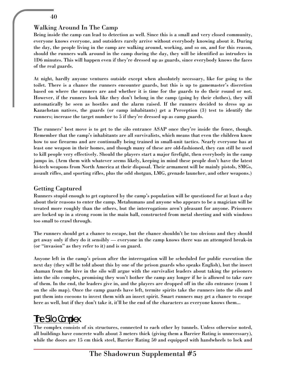#### Walking Around In The Camp

Being inside the camp can lead to detection as well. Since this is a small and very closed community, everyone knows everyone, and outsiders rarely arrive without everybody knowing about it. During the day, the people living in the camp are walking around, working, and so on, and for this reason, should the runners walk around in the camp during the day, they will be identified as intruders in 1D6 minutes. This will happen even if they're dressed up as guards, since everybody knows the faces of the real guards.

At night, hardly anyone ventures outside except when absolutely necessary, like for going to the toilet. There is a chance the runners encounter guards, but this is up to gamemaster's discretion based on where the runners are and whether it is time for the guards to do their round or not. However, if the runners look like they don't belong in the camp (going by their clothes), they will automatically be seen as hostiles and the alarm raised. If the runners decided to dress up as Kazachstan natives, the guards (or camp inhabitants) get a Perception (3) test to identify the runners; increase the target number to 5 if they're dressed up as camp guards.

The runners' best move is to get to the silo entrance ASAP once they're inside the fence, though. Remember that the camp's inhabitants are all survivalists, which means that even the children know how to use firearms and are continually being trained in small-unit tactics. Nearly everyone has at least one weapon in their homes, and though many of these are old-fashioned, they can still be used to kill people very effectively. Should the players start a major firefight, then everybody in the camp jumps in. (Arm them with whatever seems likely, keeping in mind these people don't have the latest hi-tech weapons from North America at their disposal. Their armament will be mainly pistols, SMGs, assault rifles, and sporting rifles, plus the odd shotgun, LMG, grenade launcher, and other weapons.)

#### Getting Captured

Runners stupid enough to get captured by the camp's population will be questioned for at least a day about their reasons to enter the camp. Metahumans and anyone who appears to be a magician will be treated more roughly than the others, but the interrogations aren't pleasant for anyone. Prisoners are locked up in a strong room in the main hall, constructed from metal sheeting and with windows too small to crawl through.

The runners should get a chance to escape, but the chance shouldn't be too obvious and they should get away only if they do it sensibly — everyone in the camp knows there was an attempted break-in (or "invasion" as they refer to it) and is on guard.

Anyone left in the camp's prison after the interrogation will be scheduled for public execution the next day (they will be told about this by one of the prison guards who speaks English), but the insect shaman from the hive in the silo will argue with the survivalist leaders about taking the prisoners into the silo complex, promising they won't bother the camp any longer if he is allowed to take care of them. In the end, the leaders give in, and the players are dropped off in the silo entrance (room 1 on the silo map). Once the camp guards have left, termite spirits take the runners into the silo and put them into cocoons to invest them with an insect spirit. Smart runners may get a chance to escape here as well, but if they don't take it, it'll be the end of the characters as everyone knows them...

# The Silo Complex

The complex consists of six structures, connected to each other by tunnels. Unless otherwise noted, all buildings have concrete walls about 3 meters thick (giving them a Barrier Rating is unnecessary), while the doors are 15 cm thick steel, Barrier Rating 50 and equipped with handwheels to lock and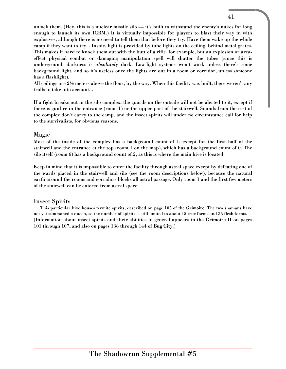unlock them. (Hey, this is a nuclear missile silo — it's built to withstand the enemy's nukes for long enough to launch its own ICBM.) It is virtually impossible for players to blast their way in with explosives, although there is no need to tell them that before they try. Have them wake up the whole camp if they want to try... Inside, light is provided by tube lights on the ceiling, behind metal grates. This makes it hard to knock them out with the butt of a rifle, for example, but an explosion or areaeffect physical combat or damaging manipulation spell will shatter the tubes (since this is underground, darkness is *absolutely* dark. Low-light systems won't work unless there's some background light, and so it's useless once the lights are out in a room or corridor, unless someone has a flashlight).

All ceilings are  $2\frac{1}{2}$  meters above the floor, by the way. When this facility was built, there weren't any trolls to take into account...

If a fight breaks out in the silo complex, the guards on the outside will not be alerted to it, except if there is gunfire in the entrance (room 1) or the upper part of the stairwell. Sounds from the rest of the complex don't carry to the camp, and the insect spirits will under no circumstance call for help to the survivalists, for obvious reasons.

#### Magic

Most of the inside of the complex has a background count of 1, except for the first half of the stairwell and the entrance at the top (room 1 on the map), which has a background count of 0. The silo itself (room 6) has a background count of 2, as this is where the main hive is located.

Keep in mind that it is impossible to enter the facility through astral space except by defeating one of the wards placed in the stairwell and silo (see the room descriptions below), because the natural earth around the rooms and corridors blocks all astral passage. Only room 1 and the first few meters of the stairwell can be entered from astral space.

#### Insect Spirits

This particular hive houses termite spirits, described on page 105 of the Grimoire. The two shamans have not yet summoned a queen, so the number of spirits is still limited to about 15 true forms and 35 flesh forms. (Information about insect spirits and their abilities in general appears in the Grimoire II on pages 101 through 107, and also on pages 138 through 144 of Bug City.)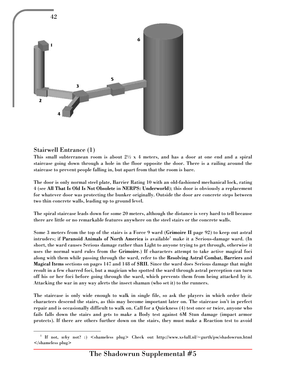

#### Stairwell Entrance (1)

1

This small subterranean room is about  $2\frac{1}{2} \times 4$  meters, and has a door at one end and a spiral staircase going down through a hole in the floor opposite the door. There is a railing around the staircase to prevent people falling in, but apart from that the room is bare.

The door is only normal steel plate, Barrier Rating 10 with an old-fashioned mechanical lock, rating 4 (see All That Is Old Is Not Obsolete in NERPS: Underworld); this door is obviously a replacement for whatever door was protecting the bunker originally. Outside the door are concrete steps between two thin concrete walls, leading up to ground level.

The spiral staircase leads down for some 20 meters, although the distance is very hard to tell because there are little or no remarkable features anywhere on the steel stairs or the concrete walls.

Some 3 meters from the top of the stairs is a Force 9 ward (Grimoire II page 92) to keep out astral intruders; if  ${\bf Param}$  Animals of North America is available $^1$  make it a Serious-damage ward. (In short, the ward causes Serious damage rather than Light to anyone trying to get through, otherwise it uses the normal ward rules from the Grimoire.) If characters attempt to take active magical foci along with them while passing through the ward, refer to the Resolving Astral Combat, Barriers and Magical Items sections on pages 147 and 148 of SRII. Since the ward does Serious damage that might result in a few charred foci, but a magician who spotted the ward through astral perception can turn off his or her foci before going through the ward, which prevents them from being attacked by it. Attacking the war in any way alerts the insect shaman (who set it) to the runners.

The staircase is only wide enough to walk in single file, so ask the players in which order their characters descend the stairs, as this may become important later on. The staircase isn't in perfect repair and is occasionally difficult to walk on. Call for a Quickness (4) test once or twice, anyone who fails falls down the stairs and gets to make a Body test against 6M Stun damage (impact armor protects). If there are others further down on the stairs, they must make a Reaction test to avoid

<sup>&</sup>lt;sup>1</sup> If not, why not? :) <shameless plug> Check out http://www.xs4all.nl/~gurth/pw/shadowrun.html </shameless plug>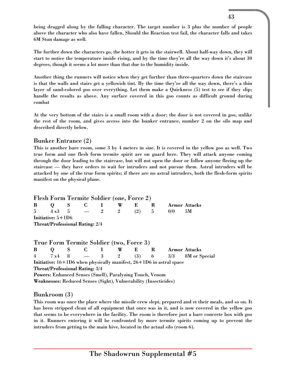being dragged along by the falling character. The target number is 3 plus the number of people above the character who also have fallen. Should the Reaction test fail, the character falls and takes 6M Stun damage as well.

The further down the characters go, the hotter it gets in the stairwell. About half-way down, they will start to notice the temperature inside rising, and by the time they're all the way down it's about 30 degrees, though it seems a lot more than that due to the humidity inside.

Another thing the runners will notice when they get further than three-quarters down the staircase is that the walls and stairs get a yellowish tint. By the time they're all the way down, there's a thin layer of sand-colored goo over everything. Let them make a Quickness (5) test to see if they slip; handle the results as above. Any surface covered in this goo counts as difficult ground during combat

At the very bottom of the stairs is a small room with a door; the door is not covered in goo, unlike the rest of the room, and gives access into the bunker entrance, number 2 on the silo map and described directly below.

#### Bunker Entrance (2)

This is another bare room, some 3 by 4 meters in size. It is covered in the yellow goo as well. Two true form and one flesh form termite spirit are on guard here. They will attack anyone coming through the door leading to the staircase, but will not open the door or follow anyone fleeing up the staircase — they have orders to wait for intruders and not pursue them. Astral intruders will be attacked by one of the true form spirits; if there are no astral intruders, both the flesh-form spirits manifest on the physical plane.

#### Flesh Form Termite Soldier (one, Force 2)

| $\bf{B}$ |                     | $\begin{matrix} 0 & S & C & I \end{matrix}$ |  | W | - R - 1 | $\mathbf{R}$ |          | Armor Attacks |
|----------|---------------------|---------------------------------------------|--|---|---------|--------------|----------|---------------|
|          |                     | 5 $4x3$ 5 $-$ 2 2 (2) 5                     |  |   |         |              | $0/0$ 5M |               |
|          | Initiative: $5+1D6$ |                                             |  |   |         |              |          |               |
|          |                     | <b>Threat/Professional Rating: 2/4</b>      |  |   |         |              |          |               |

|                                                                         |  |  |  |  |  | True Form Termite Soldier (two, Force 3)                                |  |                                                    |
|-------------------------------------------------------------------------|--|--|--|--|--|-------------------------------------------------------------------------|--|----------------------------------------------------|
|                                                                         |  |  |  |  |  | B Q S C I W E R                                                         |  | <b>Armor Attacks</b>                               |
|                                                                         |  |  |  |  |  |                                                                         |  | 4 $7 \times 4$ 8 $-$ 3 2 (3) 6 $3/3$ 8M or Special |
| Initiative: $16+1D6$ when physically manifest, $26+1D6$ in astral space |  |  |  |  |  |                                                                         |  |                                                    |
| <b>Threat/Professional Rating: 3/4</b>                                  |  |  |  |  |  |                                                                         |  |                                                    |
| <b>Powers: Enhanced Senses (Smell), Paralyzing Touch, Venom</b>         |  |  |  |  |  |                                                                         |  |                                                    |
|                                                                         |  |  |  |  |  | <b>Weaknesses: Reduced Senses (Sight), Vulnerability (Insecticides)</b> |  |                                                    |

#### Bunkroom (3)

This room was once the place where the missile crew slept, prepared and et their meals, and so on. It has been stripped clean of all equipment that once was in it, and is now covered in the yellow goo that seems to be everywhere in the facility. The room is therefore just a bare concrete box with goo in it. Runners entering it will be confronted by more termite spirits coming up to prevent the intruders from getting to the main hive, located in the actual silo (room 6).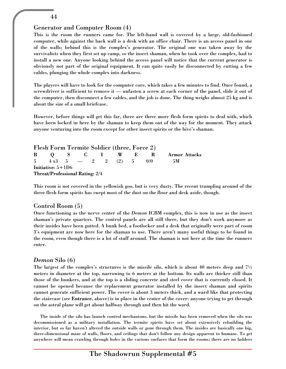#### Generator and Computer Room (4)

This is the room the runners came for. The left-hand wall is covered by a large, old-fashioned computer, while against the back wall is a desk with an office chair. There is an access panel in one of the walls; behind this is the complex's generator. The original one was taken away by the survivalists when they first set up camp, so the insect shaman, when he took over the complex, had to install a new one. Anyone looking behind the access panel will notice that the current generator is obviously not part of the original equipment. It can quite easily be disconnected by cutting a few cables, plunging the whole complex into darkness.

The players will have to look for the computer core, which takes a few minutes to find. Once found, a screwdriver is sufficient to remove it — unfasten a screw at each corner of the panel, slide it out of the computer, then disconnect a few cables, and the job is done. The thing weighs almost 25 kg and is about the size of a small briefcase.

However, before things will get this far, there are three more flesh form spirits to deal with, which have been locked in here by the shaman to keep them out of the way for the moment. They attack anyone venturing into the room except for other insect spirits or the hive's shaman.

Flesh Form Termite Soldier (three, Force 2) B Q S C I W E R Armor Attacks  $5 \t 4 \t x3 \t 5 \t - \t 2 \t 2 \t (2) \t 5 \t 0/0 \t 5M$ Initiative: 5+1D6 Threat/Professional Rating: 2/4

This room is not covered in the yellowish goo, but is very dusty. The recent trampling around of the three flesh form spirits has swept most of the dust on the floor and desk aside, though.

#### Control Room (5)

Once functioning as the nerve center of the *Demon* ICBM complex, this is now in use as the insect shaman's private quarters. The control panels are all still there, but they don't work anymore as their insides have been gutted. A bunk bed, a footlocker and a desk that originally were part of room 3's equipment are now here for the shaman to use. There aren't many useful things to be found in the room, even though there is a lot of stuff around. The shaman is not here at the time the runners enter.

#### *Demon* Silo (6)

The largest of the complex's structures is the missile silo, which is about 40 meters deep and  $7\frac{1}{2}$ meters in diameter at the top, narrowing to 6 meters at the bottom. Its walls are thicker still than those of the bunkers, and at the top is a sliding concrete and steel cover that is currently closed. It cannot be opened because the replacement generator installed by the insect shaman and spirits cannot generate sufficient power. The cover is about 3 meters thick, and a ward like that protecting the staircase (see Entrance, above) is in place in the center of the cover: anyone trying to get through on the astral plane will get about halfway through and then hit the ward.

The inside of the silo has launch control mechanisms, but the missile has been removed when the silo was decommissioned as a military installation. The termite spirits have set about extensively rebuilding the interior, but so far haven't altered the outside walls or gone through them. The insides are basically one big, three-dimensional maze of walls, floors, and ceilings that don't follow any design apparent to humans. To get anywhere will mean crawling through holes in the various surfaces that form the rooms; there are no ladders